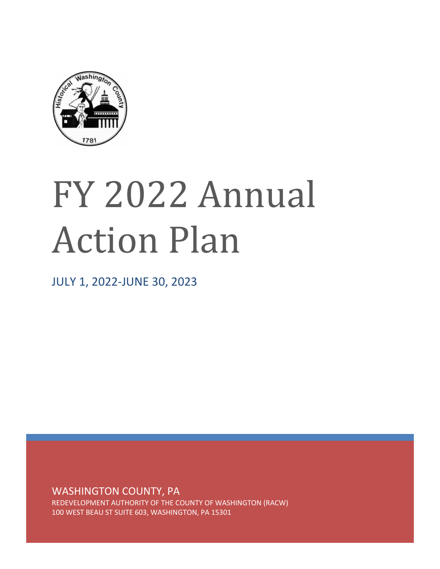

# FY 2022 Annual Action Plan

JULY 1, 2022-JUNE 30, 2023

WASHINGTON COUNTY, PA

REDEVELOPMENT AUTHORITY OF THE COUNTY OF WASHINGTON (RACW) 100 WEST BEAU ST SUITE 603, WASHINGTON, PA 15301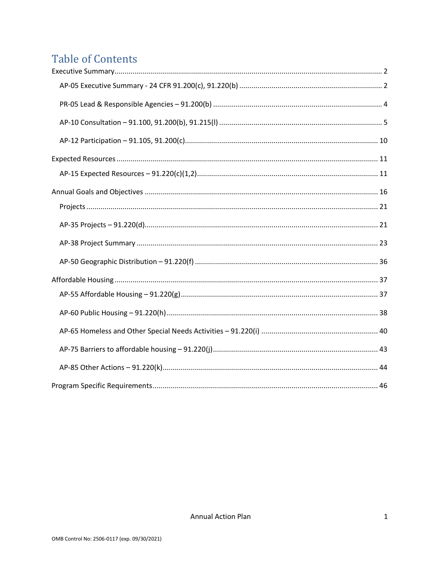# **Table of Contents**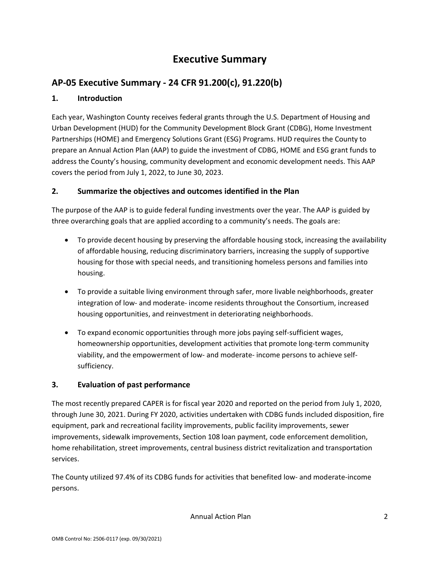# **Executive Summary**

## <span id="page-2-1"></span><span id="page-2-0"></span>**AP-05 Executive Summary - 24 CFR 91.200(c), 91.220(b)**

## **1. Introduction**

Each year, Washington County receives federal grants through the U.S. Department of Housing and Urban Development (HUD) for the Community Development Block Grant (CDBG), Home Investment Partnerships (HOME) and Emergency Solutions Grant (ESG) Programs. HUD requires the County to prepare an Annual Action Plan (AAP) to guide the investment of CDBG, HOME and ESG grant funds to address the County's housing, community development and economic development needs. This AAP covers the period from July 1, 2022, to June 30, 2023.

## **2. Summarize the objectives and outcomes identified in the Plan**

The purpose of the AAP is to guide federal funding investments over the year. The AAP is guided by three overarching goals that are applied according to a community's needs. The goals are:

- To provide decent housing by preserving the affordable housing stock, increasing the availability of affordable housing, reducing discriminatory barriers, increasing the supply of supportive housing for those with special needs, and transitioning homeless persons and families into housing.
- To provide a suitable living environment through safer, more livable neighborhoods, greater integration of low- and moderate- income residents throughout the Consortium, increased housing opportunities, and reinvestment in deteriorating neighborhoods.
- To expand economic opportunities through more jobs paying self-sufficient wages, homeownership opportunities, development activities that promote long-term community viability, and the empowerment of low- and moderate- income persons to achieve selfsufficiency.

## **3. Evaluation of past performance**

The most recently prepared CAPER is for fiscal year 2020 and reported on the period from July 1, 2020, through June 30, 2021. During FY 2020, activities undertaken with CDBG funds included disposition, fire equipment, park and recreational facility improvements, public facility improvements, sewer improvements, sidewalk improvements, Section 108 loan payment, code enforcement demolition, home rehabilitation, street improvements, central business district revitalization and transportation services.

The County utilized 97.4% of its CDBG funds for activities that benefited low- and moderate-income persons.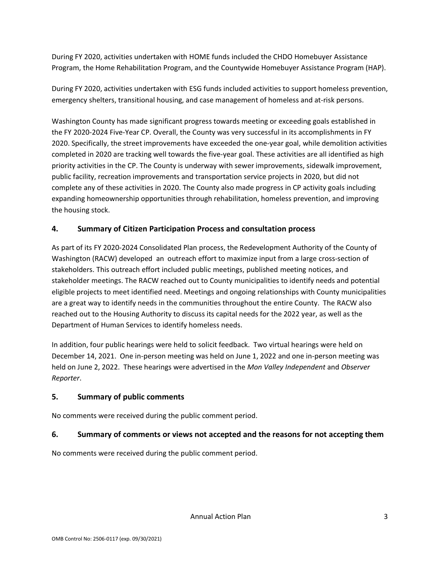During FY 2020, activities undertaken with HOME funds included the CHDO Homebuyer Assistance Program, the Home Rehabilitation Program, and the Countywide Homebuyer Assistance Program (HAP).

During FY 2020, activities undertaken with ESG funds included activities to support homeless prevention, emergency shelters, transitional housing, and case management of homeless and at-risk persons.

Washington County has made significant progress towards meeting or exceeding goals established in the FY 2020-2024 Five-Year CP. Overall, the County was very successful in its accomplishments in FY 2020. Specifically, the street improvements have exceeded the one-year goal, while demolition activities completed in 2020 are tracking well towards the five-year goal. These activities are all identified as high priority activities in the CP. The County is underway with sewer improvements, sidewalk improvement, public facility, recreation improvements and transportation service projects in 2020, but did not complete any of these activities in 2020. The County also made progress in CP activity goals including expanding homeownership opportunities through rehabilitation, homeless prevention, and improving the housing stock.

## **4. Summary of Citizen Participation Process and consultation process**

As part of its FY 2020-2024 Consolidated Plan process, the Redevelopment Authority of the County of Washington (RACW) developed an outreach effort to maximize input from a large cross-section of stakeholders. This outreach effort included public meetings, published meeting notices, and stakeholder meetings. The RACW reached out to County municipalities to identify needs and potential eligible projects to meet identified need. Meetings and ongoing relationships with County municipalities are a great way to identify needs in the communities throughout the entire County. The RACW also reached out to the Housing Authority to discuss its capital needs for the 2022 year, as well as the Department of Human Services to identify homeless needs.

In addition, four public hearings were held to solicit feedback. Two virtual hearings were held on December 14, 2021. One in-person meeting was held on June 1, 2022 and one in-person meeting was held on June 2, 2022. These hearings were advertised in the *Mon Valley Independent* and *Observer Reporter*.

## **5. Summary of public comments**

No comments were received during the public comment period.

## **6. Summary of comments or views not accepted and the reasons for not accepting them**

No comments were received during the public comment period.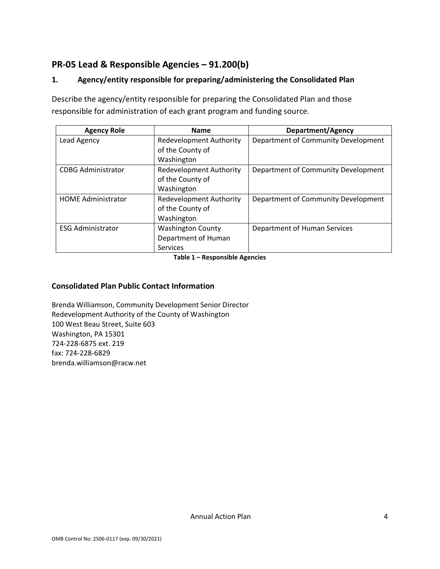## <span id="page-4-0"></span>**PR-05 Lead & Responsible Agencies – 91.200(b)**

## **1. Agency/entity responsible for preparing/administering the Consolidated Plan**

Describe the agency/entity responsible for preparing the Consolidated Plan and those responsible for administration of each grant program and funding source.

| <b>Agency Role</b>        | <b>Name</b>                    | Department/Agency                   |
|---------------------------|--------------------------------|-------------------------------------|
| Lead Agency               | <b>Redevelopment Authority</b> | Department of Community Development |
|                           | of the County of               |                                     |
|                           | Washington                     |                                     |
| <b>CDBG Administrator</b> | <b>Redevelopment Authority</b> | Department of Community Development |
|                           | of the County of               |                                     |
|                           | Washington                     |                                     |
| <b>HOME Administrator</b> | <b>Redevelopment Authority</b> | Department of Community Development |
|                           | of the County of               |                                     |
|                           | Washington                     |                                     |
| <b>ESG Administrator</b>  | <b>Washington County</b>       | Department of Human Services        |
|                           | Department of Human            |                                     |
|                           | Services                       |                                     |

**Table 1 – Responsible Agencies**

#### **Consolidated Plan Public Contact Information**

Brenda Williamson, Community Development Senior Director Redevelopment Authority of the County of Washington 100 West Beau Street, Suite 603 Washington, PA 15301 724-228-6875 ext. 219 fax: 724-228-6829 brenda.williamson@racw.net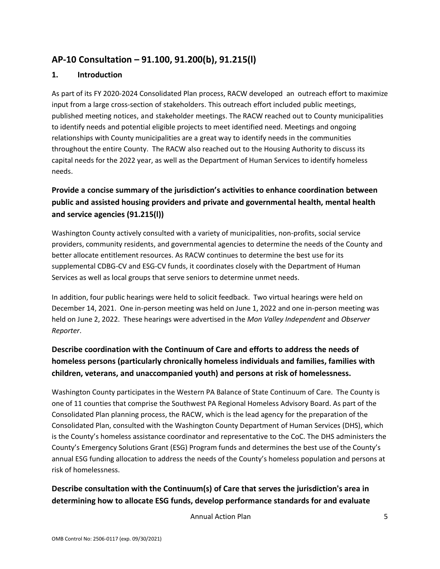## <span id="page-5-0"></span>**AP-10 Consultation – 91.100, 91.200(b), 91.215(l)**

#### **1. Introduction**

As part of its FY 2020-2024 Consolidated Plan process, RACW developed an outreach effort to maximize input from a large cross-section of stakeholders. This outreach effort included public meetings, published meeting notices, and stakeholder meetings. The RACW reached out to County municipalities to identify needs and potential eligible projects to meet identified need. Meetings and ongoing relationships with County municipalities are a great way to identify needs in the communities throughout the entire County. The RACW also reached out to the Housing Authority to discuss its capital needs for the 2022 year, as well as the Department of Human Services to identify homeless needs.

## **Provide a concise summary of the jurisdiction's activities to enhance coordination between public and assisted housing providers and private and governmental health, mental health and service agencies (91.215(l))**

Washington County actively consulted with a variety of municipalities, non-profits, social service providers, community residents, and governmental agencies to determine the needs of the County and better allocate entitlement resources. As RACW continues to determine the best use for its supplemental CDBG-CV and ESG-CV funds, it coordinates closely with the Department of Human Services as well as local groups that serve seniors to determine unmet needs.

In addition, four public hearings were held to solicit feedback. Two virtual hearings were held on December 14, 2021. One in-person meeting was held on June 1, 2022 and one in-person meeting was held on June 2, 2022. These hearings were advertised in the *Mon Valley Independent* and *Observer Reporter*.

## **Describe coordination with the Continuum of Care and efforts to address the needs of homeless persons (particularly chronically homeless individuals and families, families with children, veterans, and unaccompanied youth) and persons at risk of homelessness.**

Washington County participates in the Western PA Balance of State Continuum of Care. The County is one of 11 counties that comprise the Southwest PA Regional Homeless Advisory Board. As part of the Consolidated Plan planning process, the RACW, which is the lead agency for the preparation of the Consolidated Plan, consulted with the Washington County Department of Human Services (DHS), which is the County's homeless assistance coordinator and representative to the CoC. The DHS administers the County's Emergency Solutions Grant (ESG) Program funds and determines the best use of the County's annual ESG funding allocation to address the needs of the County's homeless population and persons at risk of homelessness.

## **Describe consultation with the Continuum(s) of Care that serves the jurisdiction's area in determining how to allocate ESG funds, develop performance standards for and evaluate**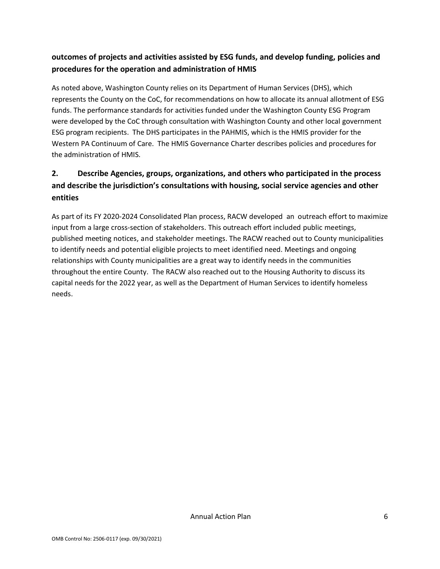## **outcomes of projects and activities assisted by ESG funds, and develop funding, policies and procedures for the operation and administration of HMIS**

As noted above, Washington County relies on its Department of Human Services (DHS), which represents the County on the CoC, for recommendations on how to allocate its annual allotment of ESG funds. The performance standards for activities funded under the Washington County ESG Program were developed by the CoC through consultation with Washington County and other local government ESG program recipients. The DHS participates in the PAHMIS, which is the HMIS provider for the Western PA Continuum of Care. The HMIS Governance Charter describes policies and procedures for the administration of HMIS.

## **2. Describe Agencies, groups, organizations, and others who participated in the process and describe the jurisdiction's consultations with housing, social service agencies and other entities**

As part of its FY 2020-2024 Consolidated Plan process, RACW developed an outreach effort to maximize input from a large cross-section of stakeholders. This outreach effort included public meetings, published meeting notices, and stakeholder meetings. The RACW reached out to County municipalities to identify needs and potential eligible projects to meet identified need. Meetings and ongoing relationships with County municipalities are a great way to identify needs in the communities throughout the entire County. The RACW also reached out to the Housing Authority to discuss its capital needs for the 2022 year, as well as the Department of Human Services to identify homeless needs.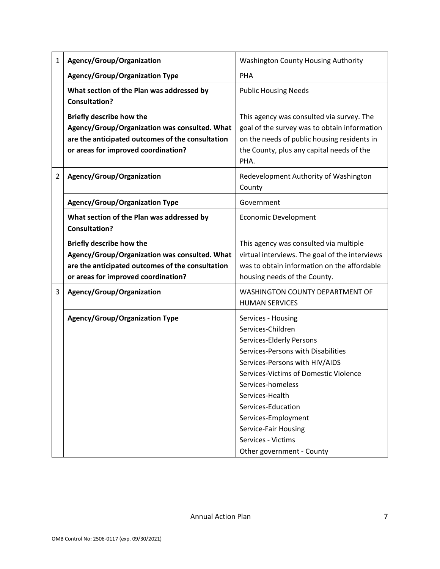| $\mathbf{1}$   | Agency/Group/Organization                                                                                                                                                   | <b>Washington County Housing Authority</b>                                                                                                                                                                                                                                                                                                           |
|----------------|-----------------------------------------------------------------------------------------------------------------------------------------------------------------------------|------------------------------------------------------------------------------------------------------------------------------------------------------------------------------------------------------------------------------------------------------------------------------------------------------------------------------------------------------|
|                | <b>Agency/Group/Organization Type</b>                                                                                                                                       | PHA                                                                                                                                                                                                                                                                                                                                                  |
|                | What section of the Plan was addressed by<br><b>Consultation?</b>                                                                                                           | <b>Public Housing Needs</b>                                                                                                                                                                                                                                                                                                                          |
|                | <b>Briefly describe how the</b><br>Agency/Group/Organization was consulted. What<br>are the anticipated outcomes of the consultation<br>or areas for improved coordination? | This agency was consulted via survey. The<br>goal of the survey was to obtain information<br>on the needs of public housing residents in<br>the County, plus any capital needs of the<br>PHA.                                                                                                                                                        |
| $\overline{2}$ | Agency/Group/Organization                                                                                                                                                   | Redevelopment Authority of Washington<br>County                                                                                                                                                                                                                                                                                                      |
|                | Agency/Group/Organization Type                                                                                                                                              | Government                                                                                                                                                                                                                                                                                                                                           |
|                | What section of the Plan was addressed by<br><b>Consultation?</b>                                                                                                           | <b>Economic Development</b>                                                                                                                                                                                                                                                                                                                          |
|                | <b>Briefly describe how the</b><br>Agency/Group/Organization was consulted. What<br>are the anticipated outcomes of the consultation<br>or areas for improved coordination? | This agency was consulted via multiple<br>virtual interviews. The goal of the interviews<br>was to obtain information on the affordable<br>housing needs of the County.                                                                                                                                                                              |
| 3              | Agency/Group/Organization                                                                                                                                                   | WASHINGTON COUNTY DEPARTMENT OF<br><b>HUMAN SERVICES</b>                                                                                                                                                                                                                                                                                             |
|                | <b>Agency/Group/Organization Type</b>                                                                                                                                       | Services - Housing<br>Services-Children<br>Services-Elderly Persons<br>Services-Persons with Disabilities<br>Services-Persons with HIV/AIDS<br>Services-Victims of Domestic Violence<br>Services-homeless<br>Services-Health<br>Services-Education<br>Services-Employment<br>Service-Fair Housing<br>Services - Victims<br>Other government - County |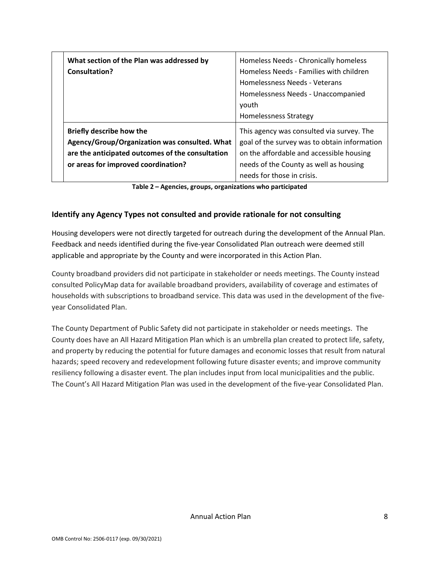| What section of the Plan was addressed by<br>Consultation?                                                                    | Homeless Needs - Chronically homeless<br>Homeless Needs - Families with children<br>Homelessness Needs - Veterans<br>Homelessness Needs - Unaccompanied<br>vouth<br><b>Homelessness Strategy</b> |
|-------------------------------------------------------------------------------------------------------------------------------|--------------------------------------------------------------------------------------------------------------------------------------------------------------------------------------------------|
| Briefly describe how the<br>Agency/Group/Organization was consulted. What<br>are the anticipated outcomes of the consultation | This agency was consulted via survey. The<br>goal of the survey was to obtain information<br>on the affordable and accessible housing                                                            |
| or areas for improved coordination?                                                                                           | needs of the County as well as housing<br>needs for those in crisis.                                                                                                                             |

**Table 2 – Agencies, groups, organizations who participated**

#### **Identify any Agency Types not consulted and provide rationale for not consulting**

Housing developers were not directly targeted for outreach during the development of the Annual Plan. Feedback and needs identified during the five-year Consolidated Plan outreach were deemed still applicable and appropriate by the County and were incorporated in this Action Plan.

County broadband providers did not participate in stakeholder or needs meetings. The County instead consulted PolicyMap data for available broadband providers, availability of coverage and estimates of households with subscriptions to broadband service. This data was used in the development of the fiveyear Consolidated Plan.

The County Department of Public Safety did not participate in stakeholder or needs meetings. The County does have an All Hazard Mitigation Plan which is an umbrella plan created to protect life, safety, and property by reducing the potential for future damages and economic losses that result from natural hazards; speed recovery and redevelopment following future disaster events; and improve community resiliency following a disaster event. The plan includes input from local municipalities and the public. The Count's All Hazard Mitigation Plan was used in the development of the five-year Consolidated Plan.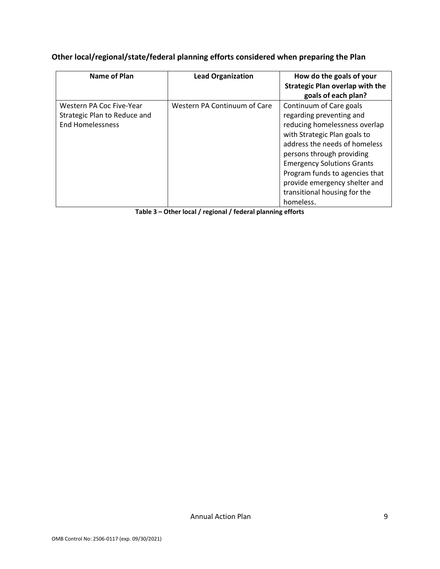## **Other local/regional/state/federal planning efforts considered when preparing the Plan**

| Name of Plan                                                                        | <b>Lead Organization</b>     | How do the goals of your<br><b>Strategic Plan overlap with the</b><br>goals of each plan?                                                                                                                                                                                                                                               |
|-------------------------------------------------------------------------------------|------------------------------|-----------------------------------------------------------------------------------------------------------------------------------------------------------------------------------------------------------------------------------------------------------------------------------------------------------------------------------------|
| Western PA Coc Five-Year<br>Strategic Plan to Reduce and<br><b>End Homelessness</b> | Western PA Continuum of Care | Continuum of Care goals<br>regarding preventing and<br>reducing homelessness overlap<br>with Strategic Plan goals to<br>address the needs of homeless<br>persons through providing<br><b>Emergency Solutions Grants</b><br>Program funds to agencies that<br>provide emergency shelter and<br>transitional housing for the<br>homeless. |

**Table 3 – Other local / regional / federal planning efforts**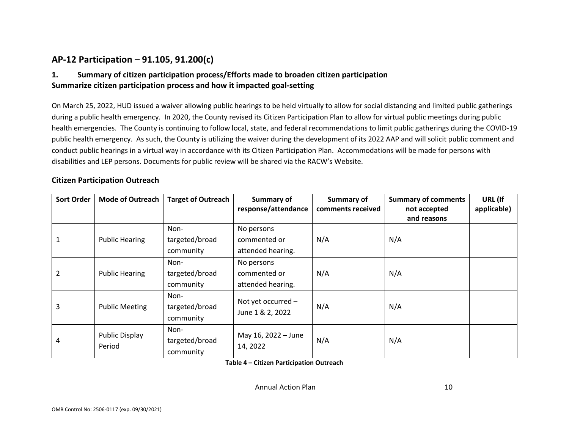## **AP-12 Participation – 91.105, 91.200(c)**

## **1. Summary of citizen participation process/Efforts made to broaden citizen participation Summarize citizen participation process and how it impacted goal-setting**

On March 25, 2022, HUD issued a waiver allowing public hearings to be held virtually to allow for social distancing and limited public gatherings during a public health emergency. In 2020, the County revised its Citizen Participation Plan to allow for virtual public meetings during public health emergencies. The County is continuing to follow local, state, and federal recommendations to limit public gatherings during the COVID-19 public health emergency. As such, the County is utilizing the waiver during the development of its 2022 AAP and will solicit public comment and conduct public hearings in a virtual way in accordance with its Citizen Participation Plan. Accommodations will be made for persons with disabilities and LEP persons. Documents for public review will be shared via the RACW's Website.

#### <span id="page-10-0"></span>**Citizen Participation Outreach**

| <b>Sort Order</b> | <b>Mode of Outreach</b> | <b>Target of Outreach</b> | Summary of           | <b>Summary of</b> | <b>Summary of comments</b> | URL (If     |
|-------------------|-------------------------|---------------------------|----------------------|-------------------|----------------------------|-------------|
|                   |                         |                           | response/attendance  | comments received | not accepted               | applicable) |
|                   |                         |                           |                      |                   | and reasons                |             |
|                   |                         | Non-                      | No persons           |                   |                            |             |
|                   | <b>Public Hearing</b>   | targeted/broad            | commented or         | N/A               | N/A                        |             |
|                   |                         | community                 | attended hearing.    |                   |                            |             |
|                   |                         | Non-                      | No persons           |                   |                            |             |
|                   | <b>Public Hearing</b>   | targeted/broad            | commented or         | N/A               | N/A                        |             |
|                   |                         | community                 | attended hearing.    |                   |                            |             |
|                   |                         | Non-                      | Not yet occurred $-$ |                   |                            |             |
| 3                 | <b>Public Meeting</b>   | targeted/broad            | June 1 & 2, 2022     | N/A               | N/A                        |             |
|                   |                         | community                 |                      |                   |                            |             |
|                   | Public Display          | Non-                      | May 16, 2022 - June  |                   |                            |             |
| 4                 |                         | targeted/broad            | 14, 2022             | N/A               | N/A                        |             |
|                   | Period                  | community                 |                      |                   |                            |             |

**Table 4 – Citizen Participation Outreach**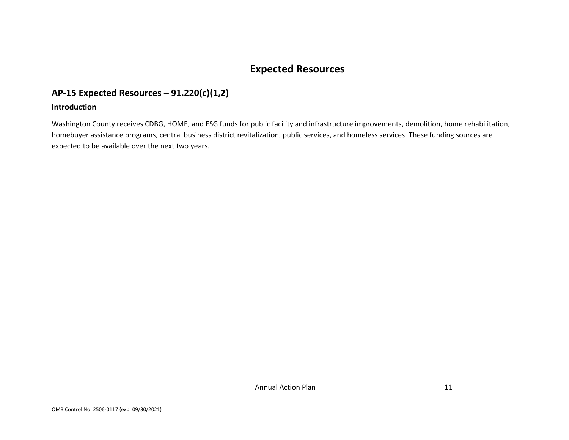# **Expected Resources**

## **AP-15 Expected Resources – 91.220(c)(1,2)**

#### **Introduction**

<span id="page-11-1"></span><span id="page-11-0"></span>Washington County receives CDBG, HOME, and ESG funds for public facility and infrastructure improvements, demolition, home rehabilitation, homebuyer assistance programs, central business district revitalization, public services, and homeless services. These funding sources are expected to be available over the next two years.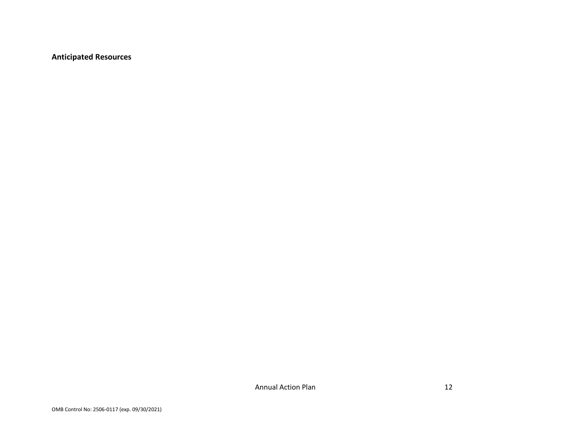**Anticipated Resources**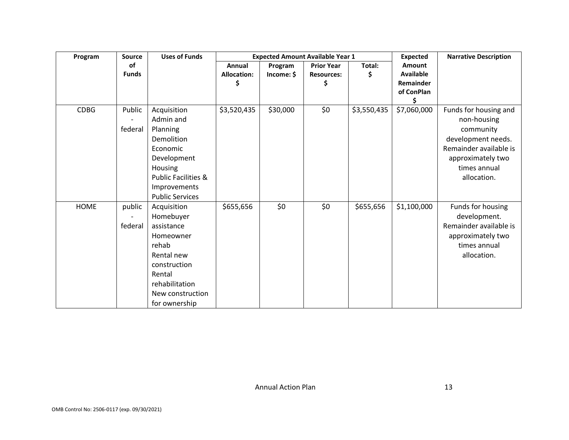| Program     | Source       | <b>Uses of Funds</b>           |                    |            | <b>Expected Amount Available Year 1</b> |             | <b>Expected</b>  | <b>Narrative Description</b> |
|-------------|--------------|--------------------------------|--------------------|------------|-----------------------------------------|-------------|------------------|------------------------------|
|             | οf           |                                | Annual             | Program    | <b>Prior Year</b>                       | Total:      | Amount           |                              |
|             | <b>Funds</b> |                                | <b>Allocation:</b> | Income: \$ | <b>Resources:</b>                       | \$          | <b>Available</b> |                              |
|             |              |                                | S                  |            |                                         |             | Remainder        |                              |
|             |              |                                |                    |            |                                         |             | of ConPlan       |                              |
|             |              |                                |                    |            |                                         |             | \$               |                              |
| <b>CDBG</b> | Public       | Acquisition                    | \$3,520,435        | \$30,000   | \$0                                     | \$3,550,435 | \$7,060,000      | Funds for housing and        |
|             |              | Admin and                      |                    |            |                                         |             |                  | non-housing                  |
|             | federal      | Planning                       |                    |            |                                         |             |                  | community                    |
|             |              | Demolition                     |                    |            |                                         |             |                  | development needs.           |
|             |              | Economic                       |                    |            |                                         |             |                  | Remainder available is       |
|             |              | Development                    |                    |            |                                         |             |                  | approximately two            |
|             |              | Housing                        |                    |            |                                         |             |                  | times annual                 |
|             |              | <b>Public Facilities &amp;</b> |                    |            |                                         |             |                  | allocation.                  |
|             |              | Improvements                   |                    |            |                                         |             |                  |                              |
|             |              | <b>Public Services</b>         |                    |            |                                         |             |                  |                              |
| <b>HOME</b> | public       | Acquisition                    | \$655,656          | \$0        | \$0\$                                   | \$655,656   | \$1,100,000      | Funds for housing            |
|             |              | Homebuyer                      |                    |            |                                         |             |                  | development.                 |
|             | federal      | assistance                     |                    |            |                                         |             |                  | Remainder available is       |
|             |              | Homeowner                      |                    |            |                                         |             |                  | approximately two            |
|             |              | rehab                          |                    |            |                                         |             |                  | times annual                 |
|             |              | Rental new                     |                    |            |                                         |             |                  | allocation.                  |
|             |              | construction                   |                    |            |                                         |             |                  |                              |
|             |              | Rental                         |                    |            |                                         |             |                  |                              |
|             |              | rehabilitation                 |                    |            |                                         |             |                  |                              |
|             |              | New construction               |                    |            |                                         |             |                  |                              |
|             |              | for ownership                  |                    |            |                                         |             |                  |                              |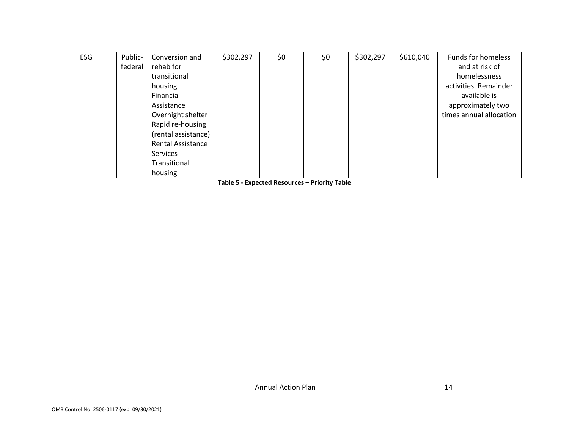| <b>FSG</b> | Public- | Conversion and           | \$302,297 | \$0 | \$0 | \$302,297 | \$610,040 | <b>Funds for homeless</b> |
|------------|---------|--------------------------|-----------|-----|-----|-----------|-----------|---------------------------|
|            |         |                          |           |     |     |           |           |                           |
|            | federal | rehab for                |           |     |     |           |           | and at risk of            |
|            |         | transitional             |           |     |     |           |           | homelessness              |
|            |         | housing                  |           |     |     |           |           | activities. Remainder     |
|            |         | Financial                |           |     |     |           |           | available is              |
|            |         | Assistance               |           |     |     |           |           | approximately two         |
|            |         | Overnight shelter        |           |     |     |           |           | times annual allocation   |
|            |         | Rapid re-housing         |           |     |     |           |           |                           |
|            |         | (rental assistance)      |           |     |     |           |           |                           |
|            |         | <b>Rental Assistance</b> |           |     |     |           |           |                           |
|            |         | Services                 |           |     |     |           |           |                           |
|            |         | Transitional             |           |     |     |           |           |                           |
|            |         | housing                  |           |     |     |           |           |                           |

**Table 5 - Expected Resources – Priority Table**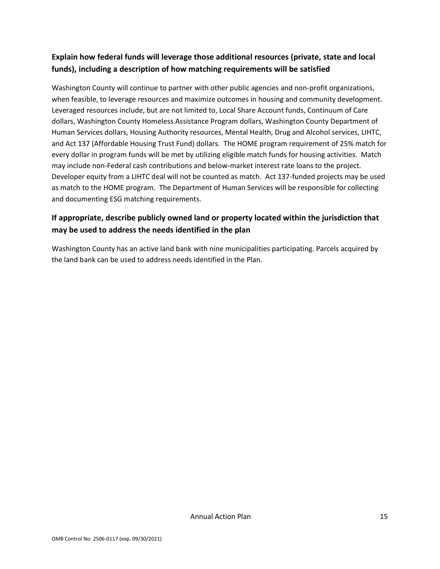## **Explain how federal funds will leverage those additional resources (private, state and local funds), including a description of how matching requirements will be satisfied**

Washington County will continue to partner with other public agencies and non-profit organizations, when feasible, to leverage resources and maximize outcomes in housing and community development. Leveraged resources include, but are not limited to, Local Share Account funds, Continuum of Care dollars, Washington County Homeless Assistance Program dollars, Washington County Department of Human Services dollars, Housing Authority resources, Mental Health, Drug and Alcohol services, LIHTC, and Act 137 (Affordable Housing Trust Fund) dollars. The HOME program requirement of 25% match for every dollar in program funds will be met by utilizing eligible match funds for housing activities.  Match may include non-Federal cash contributions and below-market interest rate loans to the project. Developer equity from a LIHTC deal will not be counted as match. Act 137-funded projects may be used as match to the HOME program. The Department of Human Services will be responsible for collecting and documenting ESG matching requirements.

## **If appropriate, describe publicly owned land or property located within the jurisdiction that may be used to address the needs identified in the plan**

Washington County has an active land bank with nine municipalities participating. Parcels acquired by the land bank can be used to address needs identified in the Plan.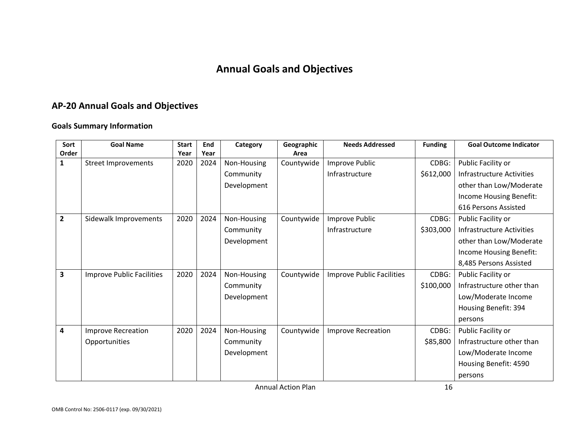# **Annual Goals and Objectives**

# **AP-20 Annual Goals and Objectives**

#### **Goals Summary Information**

<span id="page-16-0"></span>

| Sort           | <b>Goal Name</b>                 | <b>Start</b> | End  | Category    | Geographic | <b>Needs Addressed</b>           | <b>Funding</b> | <b>Goal Outcome Indicator</b> |
|----------------|----------------------------------|--------------|------|-------------|------------|----------------------------------|----------------|-------------------------------|
| Order          |                                  | Year         | Year |             | Area       |                                  |                |                               |
| 1              | <b>Street Improvements</b>       | 2020         | 2024 | Non-Housing | Countywide | Improve Public                   | CDBG:          | Public Facility or            |
|                |                                  |              |      | Community   |            | Infrastructure                   | \$612,000      | Infrastructure Activities     |
|                |                                  |              |      | Development |            |                                  |                | other than Low/Moderate       |
|                |                                  |              |      |             |            |                                  |                | Income Housing Benefit:       |
|                |                                  |              |      |             |            |                                  |                | 616 Persons Assisted          |
| $\overline{2}$ | Sidewalk Improvements            | 2020         | 2024 | Non-Housing | Countywide | Improve Public                   | CDBG:          | Public Facility or            |
|                |                                  |              |      | Community   |            | Infrastructure                   | \$303,000      | Infrastructure Activities     |
|                |                                  |              |      | Development |            |                                  |                | other than Low/Moderate       |
|                |                                  |              |      |             |            |                                  |                | Income Housing Benefit:       |
|                |                                  |              |      |             |            |                                  |                | 8,485 Persons Assisted        |
| 3              | <b>Improve Public Facilities</b> | 2020         | 2024 | Non-Housing | Countywide | <b>Improve Public Facilities</b> | CDBG:          | Public Facility or            |
|                |                                  |              |      | Community   |            |                                  | \$100,000      | Infrastructure other than     |
|                |                                  |              |      | Development |            |                                  |                | Low/Moderate Income           |
|                |                                  |              |      |             |            |                                  |                | Housing Benefit: 394          |
|                |                                  |              |      |             |            |                                  |                | persons                       |
| 4              | <b>Improve Recreation</b>        | 2020         | 2024 | Non-Housing | Countywide | <b>Improve Recreation</b>        | CDBG:          | Public Facility or            |
|                | Opportunities                    |              |      | Community   |            |                                  | \$85,800       | Infrastructure other than     |
|                |                                  |              |      | Development |            |                                  |                | Low/Moderate Income           |
|                |                                  |              |      |             |            |                                  |                | Housing Benefit: 4590         |
|                |                                  |              |      |             |            |                                  |                | persons                       |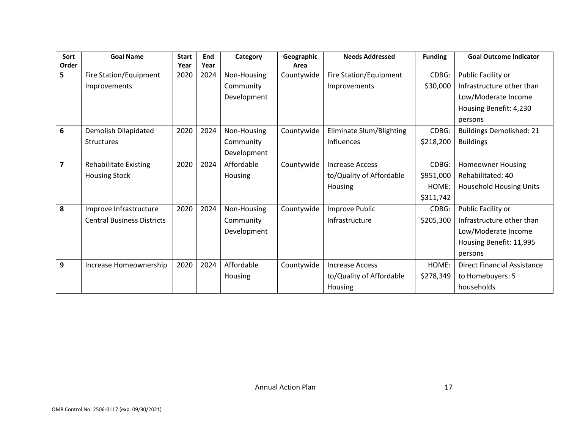| Sort                    | <b>Goal Name</b>                  | <b>Start</b> | End  | Category    | Geographic | <b>Needs Addressed</b>   | <b>Funding</b> | <b>Goal Outcome Indicator</b>      |
|-------------------------|-----------------------------------|--------------|------|-------------|------------|--------------------------|----------------|------------------------------------|
| Order                   |                                   | Year         | Year |             | Area       |                          |                |                                    |
| 5                       | Fire Station/Equipment            | 2020         | 2024 | Non-Housing | Countywide | Fire Station/Equipment   | CDBG:          | Public Facility or                 |
|                         | Improvements                      |              |      | Community   |            | Improvements             | \$30,000       | Infrastructure other than          |
|                         |                                   |              |      | Development |            |                          |                | Low/Moderate Income                |
|                         |                                   |              |      |             |            |                          |                | Housing Benefit: 4,230             |
|                         |                                   |              |      |             |            |                          |                | persons                            |
| 6                       | Demolish Dilapidated              | 2020         | 2024 | Non-Housing | Countywide | Eliminate Slum/Blighting | CDBG:          | <b>Buildings Demolished: 21</b>    |
|                         | <b>Structures</b>                 |              |      | Community   |            | <b>Influences</b>        | \$218,200      | <b>Buildings</b>                   |
|                         |                                   |              |      | Development |            |                          |                |                                    |
| $\overline{\mathbf{z}}$ | Rehabilitate Existing             | 2020         | 2024 | Affordable  | Countywide | <b>Increase Access</b>   | CDBG:          | Homeowner Housing                  |
|                         | <b>Housing Stock</b>              |              |      | Housing     |            | to/Quality of Affordable | \$951,000      | Rehabilitated: 40                  |
|                         |                                   |              |      |             |            | Housing                  | HOME:          | <b>Household Housing Units</b>     |
|                         |                                   |              |      |             |            |                          | \$311,742      |                                    |
| 8                       | Improve Infrastructure            | 2020         | 2024 | Non-Housing | Countywide | Improve Public           | CDBG:          | Public Facility or                 |
|                         | <b>Central Business Districts</b> |              |      | Community   |            | Infrastructure           | \$205,300      | Infrastructure other than          |
|                         |                                   |              |      | Development |            |                          |                | Low/Moderate Income                |
|                         |                                   |              |      |             |            |                          |                | Housing Benefit: 11,995            |
|                         |                                   |              |      |             |            |                          |                | persons                            |
| 9                       | Increase Homeownership            | 2020         | 2024 | Affordable  | Countywide | <b>Increase Access</b>   | HOME:          | <b>Direct Financial Assistance</b> |
|                         |                                   |              |      | Housing     |            | to/Quality of Affordable | \$278,349      | to Homebuyers: 5                   |
|                         |                                   |              |      |             |            | Housing                  |                | households                         |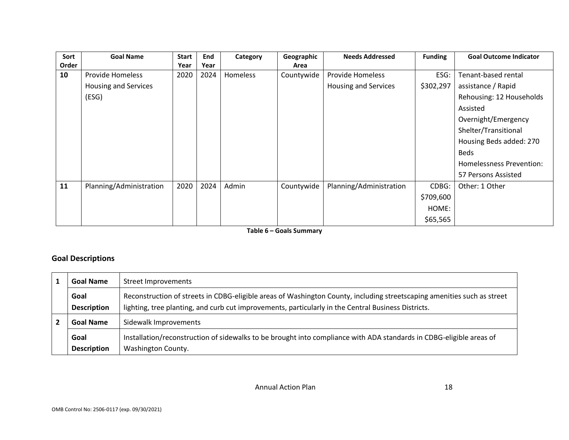| Sort  | <b>Goal Name</b>            | <b>Start</b> | End  | Category | Geographic | <b>Needs Addressed</b>      | <b>Funding</b> | <b>Goal Outcome Indicator</b> |
|-------|-----------------------------|--------------|------|----------|------------|-----------------------------|----------------|-------------------------------|
| Order |                             | Year         | Year |          | Area       |                             |                |                               |
| 10    | <b>Provide Homeless</b>     | 2020         | 2024 | Homeless | Countywide | <b>Provide Homeless</b>     | ESG:           | Tenant-based rental           |
|       | <b>Housing and Services</b> |              |      |          |            | <b>Housing and Services</b> | \$302,297      | assistance / Rapid            |
|       | (ESG)                       |              |      |          |            |                             |                | Rehousing: 12 Households      |
|       |                             |              |      |          |            |                             |                | Assisted                      |
|       |                             |              |      |          |            |                             |                | Overnight/Emergency           |
|       |                             |              |      |          |            |                             |                | Shelter/Transitional          |
|       |                             |              |      |          |            |                             |                | Housing Beds added: 270       |
|       |                             |              |      |          |            |                             |                | <b>Beds</b>                   |
|       |                             |              |      |          |            |                             |                | Homelessness Prevention:      |
|       |                             |              |      |          |            |                             |                | 57 Persons Assisted           |
| 11    | Planning/Administration     | 2020         | 2024 | Admin    | Countywide | Planning/Administration     | CDBG:          | Other: 1 Other                |
|       |                             |              |      |          |            |                             | \$709,600      |                               |
|       |                             |              |      |          |            |                             | HOME:          |                               |
|       |                             |              |      |          |            |                             | \$65,565       |                               |

**Table 6 – Goals Summary**

#### **Goal Descriptions**

| <b>Goal Name</b>   | Street Improvements                                                                                                     |
|--------------------|-------------------------------------------------------------------------------------------------------------------------|
| Goal               | Reconstruction of streets in CDBG-eligible areas of Washington County, including streetscaping amenities such as street |
| <b>Description</b> | lighting, tree planting, and curb cut improvements, particularly in the Central Business Districts.                     |
| <b>Goal Name</b>   | Sidewalk Improvements                                                                                                   |
| Goal               | Installation/reconstruction of sidewalks to be brought into compliance with ADA standards in CDBG-eligible areas of     |
| <b>Description</b> | Washington County.                                                                                                      |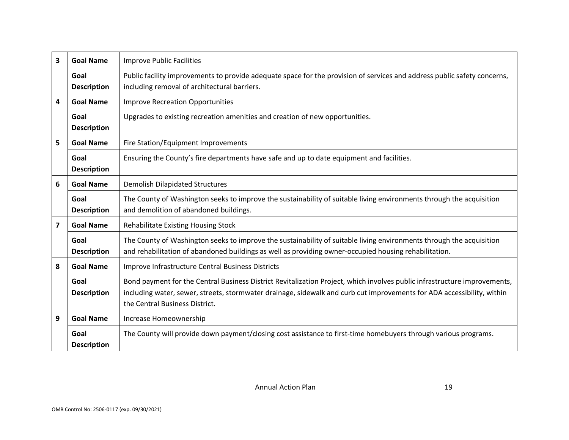| $\overline{\mathbf{3}}$ | <b>Goal Name</b>           | <b>Improve Public Facilities</b>                                                                                                                                                                                                                                                      |  |
|-------------------------|----------------------------|---------------------------------------------------------------------------------------------------------------------------------------------------------------------------------------------------------------------------------------------------------------------------------------|--|
|                         | Goal<br><b>Description</b> | Public facility improvements to provide adequate space for the provision of services and address public safety concerns,<br>including removal of architectural barriers.                                                                                                              |  |
| 4                       | <b>Goal Name</b>           | <b>Improve Recreation Opportunities</b>                                                                                                                                                                                                                                               |  |
|                         | Goal<br><b>Description</b> | Upgrades to existing recreation amenities and creation of new opportunities.                                                                                                                                                                                                          |  |
| 5                       | <b>Goal Name</b>           | Fire Station/Equipment Improvements                                                                                                                                                                                                                                                   |  |
|                         | Goal<br><b>Description</b> | Ensuring the County's fire departments have safe and up to date equipment and facilities.                                                                                                                                                                                             |  |
| 6                       | <b>Goal Name</b>           | <b>Demolish Dilapidated Structures</b>                                                                                                                                                                                                                                                |  |
|                         | Goal<br><b>Description</b> | The County of Washington seeks to improve the sustainability of suitable living environments through the acquisition<br>and demolition of abandoned buildings.                                                                                                                        |  |
| $\overline{\mathbf{z}}$ | <b>Goal Name</b>           | Rehabilitate Existing Housing Stock                                                                                                                                                                                                                                                   |  |
|                         | Goal<br><b>Description</b> | The County of Washington seeks to improve the sustainability of suitable living environments through the acquisition<br>and rehabilitation of abandoned buildings as well as providing owner-occupied housing rehabilitation.                                                         |  |
| 8                       | <b>Goal Name</b>           | Improve Infrastructure Central Business Districts                                                                                                                                                                                                                                     |  |
|                         | Goal<br><b>Description</b> | Bond payment for the Central Business District Revitalization Project, which involves public infrastructure improvements,<br>including water, sewer, streets, stormwater drainage, sidewalk and curb cut improvements for ADA accessibility, within<br>the Central Business District. |  |
| 9                       | <b>Goal Name</b>           | Increase Homeownership                                                                                                                                                                                                                                                                |  |
|                         | Goal<br><b>Description</b> | The County will provide down payment/closing cost assistance to first-time homebuyers through various programs.                                                                                                                                                                       |  |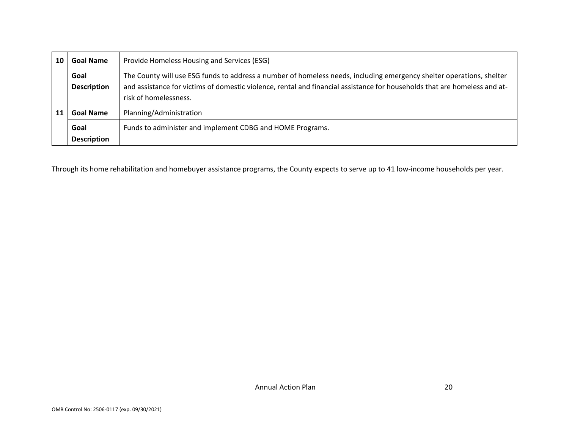| 10 | <b>Goal Name</b>           | Provide Homeless Housing and Services (ESG)                                                                                                                                                                                                                                |  |
|----|----------------------------|----------------------------------------------------------------------------------------------------------------------------------------------------------------------------------------------------------------------------------------------------------------------------|--|
|    | Goal<br><b>Description</b> | The County will use ESG funds to address a number of homeless needs, including emergency shelter operations, shelter<br>and assistance for victims of domestic violence, rental and financial assistance for households that are homeless and at-<br>risk of homelessness. |  |
|    | <b>Goal Name</b>           | Planning/Administration                                                                                                                                                                                                                                                    |  |
|    | Goal<br><b>Description</b> | Funds to administer and implement CDBG and HOME Programs.                                                                                                                                                                                                                  |  |

Through its home rehabilitation and homebuyer assistance programs, the County expects to serve up to 41 low-income households per year.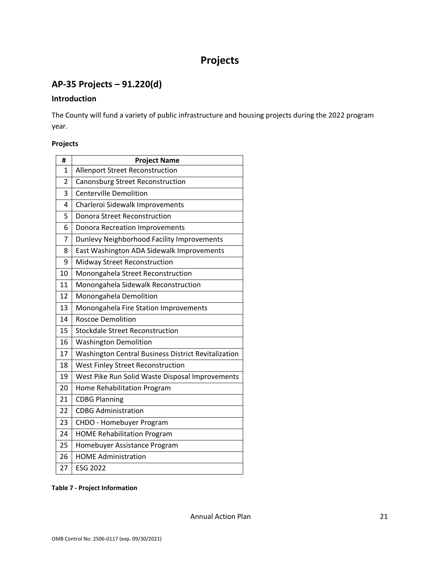# **Projects**

## <span id="page-21-1"></span><span id="page-21-0"></span>**AP-35 Projects – 91.220(d)**

#### **Introduction**

The County will fund a variety of public infrastructure and housing projects during the 2022 program year.

#### **Projects**

| #              | <b>Project Name</b>                                 |
|----------------|-----------------------------------------------------|
| 1              | <b>Allenport Street Reconstruction</b>              |
| $\overline{2}$ | Canonsburg Street Reconstruction                    |
| 3              | <b>Centerville Demolition</b>                       |
| 4              | Charleroi Sidewalk Improvements                     |
| 5              | <b>Donora Street Reconstruction</b>                 |
| 6              | <b>Donora Recreation Improvements</b>               |
| 7              | Dunlevy Neighborhood Facility Improvements          |
| 8              | East Washington ADA Sidewalk Improvements           |
| 9              | Midway Street Reconstruction                        |
| 10             | Monongahela Street Reconstruction                   |
| 11             | Monongahela Sidewalk Reconstruction                 |
| 12             | Monongahela Demolition                              |
| 13             | Monongahela Fire Station Improvements               |
| 14             | <b>Roscoe Demolition</b>                            |
| 15             | <b>Stockdale Street Reconstruction</b>              |
| 16             | <b>Washington Demolition</b>                        |
| 17             | Washington Central Business District Revitalization |
| 18             | West Finley Street Reconstruction                   |
| 19             | West Pike Run Solid Waste Disposal Improvements     |
| 20             | Home Rehabilitation Program                         |
| 21             | <b>CDBG Planning</b>                                |
| 22             | <b>CDBG Administration</b>                          |
| 23             | CHDO - Homebuyer Program                            |
| 24             | <b>HOME Rehabilitation Program</b>                  |
| 25             | Homebuyer Assistance Program                        |
| 26             | <b>HOME Administration</b>                          |
| 27             | <b>ESG 2022</b>                                     |

#### **Table 7 - Project Information**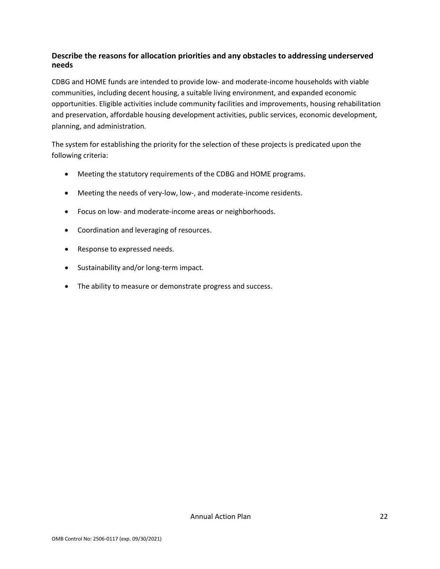#### **Describe the reasons for allocation priorities and any obstacles to addressing underserved needs**

CDBG and HOME funds are intended to provide low- and moderate-income households with viable communities, including decent housing, a suitable living environment, and expanded economic opportunities. Eligible activities include community facilities and improvements, housing rehabilitation and preservation, affordable housing development activities, public services, economic development, planning, and administration.

The system for establishing the priority for the selection of these projects is predicated upon the following criteria:

- Meeting the statutory requirements of the CDBG and HOME programs.
- Meeting the needs of very-low, low-, and moderate-income residents.
- Focus on low- and moderate-income areas or neighborhoods.
- Coordination and leveraging of resources.
- Response to expressed needs.
- Sustainability and/or long-term impact.
- The ability to measure or demonstrate progress and success.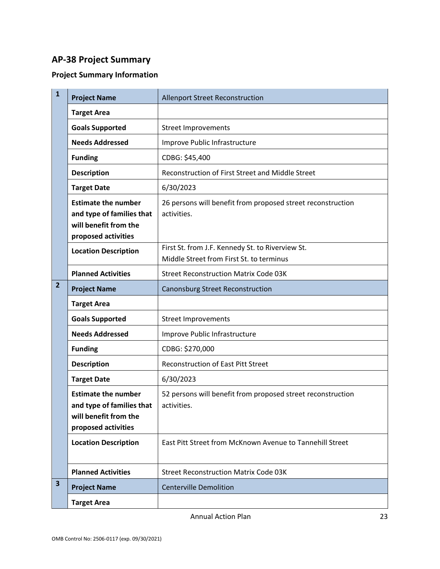## <span id="page-23-0"></span>**AP-38 Project Summary**

## **Project Summary Information**

| $\mathbf{1}$            | <b>Project Name</b>                                                                                     | <b>Allenport Street Reconstruction</b>                                                       |
|-------------------------|---------------------------------------------------------------------------------------------------------|----------------------------------------------------------------------------------------------|
|                         | <b>Target Area</b>                                                                                      |                                                                                              |
|                         | <b>Goals Supported</b>                                                                                  | <b>Street Improvements</b>                                                                   |
|                         | <b>Needs Addressed</b>                                                                                  | Improve Public Infrastructure                                                                |
|                         | <b>Funding</b>                                                                                          | CDBG: \$45,400                                                                               |
|                         | <b>Description</b>                                                                                      | Reconstruction of First Street and Middle Street                                             |
|                         | <b>Target Date</b>                                                                                      | 6/30/2023                                                                                    |
|                         | <b>Estimate the number</b><br>and type of families that<br>will benefit from the<br>proposed activities | 26 persons will benefit from proposed street reconstruction<br>activities.                   |
|                         | <b>Location Description</b>                                                                             | First St. from J.F. Kennedy St. to Riverview St.<br>Middle Street from First St. to terminus |
|                         | <b>Planned Activities</b>                                                                               | <b>Street Reconstruction Matrix Code 03K</b>                                                 |
| $\overline{2}$          | <b>Project Name</b>                                                                                     | Canonsburg Street Reconstruction                                                             |
|                         | <b>Target Area</b>                                                                                      |                                                                                              |
|                         | <b>Goals Supported</b>                                                                                  | <b>Street Improvements</b>                                                                   |
|                         | <b>Needs Addressed</b>                                                                                  | Improve Public Infrastructure                                                                |
|                         | <b>Funding</b>                                                                                          | CDBG: \$270,000                                                                              |
|                         | <b>Description</b>                                                                                      | <b>Reconstruction of East Pitt Street</b>                                                    |
|                         | <b>Target Date</b>                                                                                      | 6/30/2023                                                                                    |
|                         | <b>Estimate the number</b><br>and type of families that<br>will benefit from the<br>proposed activities | 52 persons will benefit from proposed street reconstruction<br>activities.                   |
|                         | <b>Location Description</b>                                                                             | East Pitt Street from McKnown Avenue to Tannehill Street                                     |
|                         | <b>Planned Activities</b>                                                                               | <b>Street Reconstruction Matrix Code 03K</b>                                                 |
| $\overline{\mathbf{3}}$ | <b>Project Name</b>                                                                                     | <b>Centerville Demolition</b>                                                                |
|                         | <b>Target Area</b>                                                                                      |                                                                                              |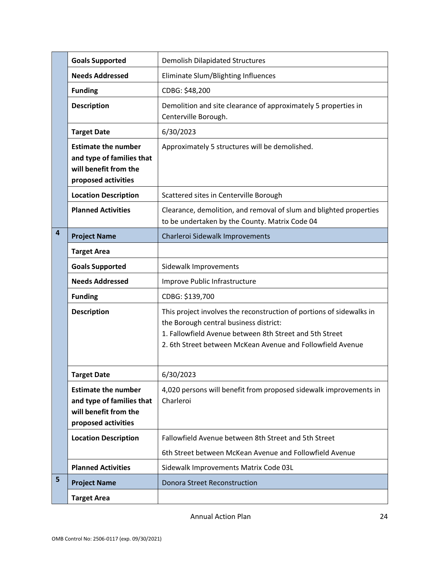|   | <b>Goals Supported</b>                                                                                  | <b>Demolish Dilapidated Structures</b>                                                                                                                                                                                                  |
|---|---------------------------------------------------------------------------------------------------------|-----------------------------------------------------------------------------------------------------------------------------------------------------------------------------------------------------------------------------------------|
|   | <b>Needs Addressed</b>                                                                                  | Eliminate Slum/Blighting Influences                                                                                                                                                                                                     |
|   | <b>Funding</b>                                                                                          | CDBG: \$48,200                                                                                                                                                                                                                          |
|   | <b>Description</b>                                                                                      | Demolition and site clearance of approximately 5 properties in<br>Centerville Borough.                                                                                                                                                  |
|   | <b>Target Date</b>                                                                                      | 6/30/2023                                                                                                                                                                                                                               |
|   | <b>Estimate the number</b><br>and type of families that<br>will benefit from the<br>proposed activities | Approximately 5 structures will be demolished.                                                                                                                                                                                          |
|   | <b>Location Description</b>                                                                             | Scattered sites in Centerville Borough                                                                                                                                                                                                  |
|   | <b>Planned Activities</b>                                                                               | Clearance, demolition, and removal of slum and blighted properties<br>to be undertaken by the County. Matrix Code 04                                                                                                                    |
| 4 | <b>Project Name</b>                                                                                     | Charleroi Sidewalk Improvements                                                                                                                                                                                                         |
|   | <b>Target Area</b>                                                                                      |                                                                                                                                                                                                                                         |
|   | <b>Goals Supported</b>                                                                                  | Sidewalk Improvements                                                                                                                                                                                                                   |
|   | <b>Needs Addressed</b>                                                                                  | Improve Public Infrastructure                                                                                                                                                                                                           |
|   | <b>Funding</b>                                                                                          | CDBG: \$139,700                                                                                                                                                                                                                         |
|   | <b>Description</b>                                                                                      | This project involves the reconstruction of portions of sidewalks in<br>the Borough central business district:<br>1. Fallowfield Avenue between 8th Street and 5th Street<br>2. 6th Street between McKean Avenue and Followfield Avenue |
|   | <b>Target Date</b>                                                                                      | 6/30/2023                                                                                                                                                                                                                               |
|   | <b>Estimate the number</b><br>and type of families that<br>will benefit from the<br>proposed activities | 4,020 persons will benefit from proposed sidewalk improvements in<br>Charleroi                                                                                                                                                          |
|   | <b>Location Description</b>                                                                             | Fallowfield Avenue between 8th Street and 5th Street                                                                                                                                                                                    |
|   |                                                                                                         | 6th Street between McKean Avenue and Followfield Avenue                                                                                                                                                                                 |
|   | <b>Planned Activities</b>                                                                               | Sidewalk Improvements Matrix Code 03L                                                                                                                                                                                                   |
| 5 | <b>Project Name</b>                                                                                     | <b>Donora Street Reconstruction</b>                                                                                                                                                                                                     |
|   | <b>Target Area</b>                                                                                      |                                                                                                                                                                                                                                         |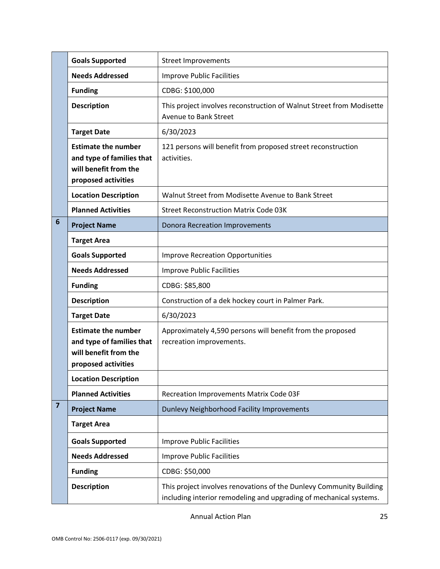|                         | <b>Goals Supported</b>                                                                                  | <b>Street Improvements</b>                                                                                                                |
|-------------------------|---------------------------------------------------------------------------------------------------------|-------------------------------------------------------------------------------------------------------------------------------------------|
|                         | <b>Needs Addressed</b>                                                                                  | <b>Improve Public Facilities</b>                                                                                                          |
|                         | <b>Funding</b>                                                                                          | CDBG: \$100,000                                                                                                                           |
|                         | <b>Description</b>                                                                                      | This project involves reconstruction of Walnut Street from Modisette<br><b>Avenue to Bank Street</b>                                      |
|                         | <b>Target Date</b>                                                                                      | 6/30/2023                                                                                                                                 |
|                         | <b>Estimate the number</b><br>and type of families that<br>will benefit from the<br>proposed activities | 121 persons will benefit from proposed street reconstruction<br>activities.                                                               |
|                         | <b>Location Description</b>                                                                             | Walnut Street from Modisette Avenue to Bank Street                                                                                        |
|                         | <b>Planned Activities</b>                                                                               | <b>Street Reconstruction Matrix Code 03K</b>                                                                                              |
| $6\phantom{1}6$         | <b>Project Name</b>                                                                                     | <b>Donora Recreation Improvements</b>                                                                                                     |
|                         | <b>Target Area</b>                                                                                      |                                                                                                                                           |
|                         | <b>Goals Supported</b>                                                                                  | <b>Improve Recreation Opportunities</b>                                                                                                   |
|                         | <b>Needs Addressed</b>                                                                                  | <b>Improve Public Facilities</b>                                                                                                          |
|                         | <b>Funding</b>                                                                                          | CDBG: \$85,800                                                                                                                            |
|                         | <b>Description</b>                                                                                      | Construction of a dek hockey court in Palmer Park.                                                                                        |
|                         | <b>Target Date</b>                                                                                      | 6/30/2023                                                                                                                                 |
|                         | <b>Estimate the number</b><br>and type of families that<br>will benefit from the<br>proposed activities | Approximately 4,590 persons will benefit from the proposed<br>recreation improvements.                                                    |
|                         | <b>Location Description</b>                                                                             |                                                                                                                                           |
|                         | <b>Planned Activities</b>                                                                               | Recreation Improvements Matrix Code 03F                                                                                                   |
| $\overline{\mathbf{z}}$ | <b>Project Name</b>                                                                                     | Dunlevy Neighborhood Facility Improvements                                                                                                |
|                         | <b>Target Area</b>                                                                                      |                                                                                                                                           |
|                         | <b>Goals Supported</b>                                                                                  | <b>Improve Public Facilities</b>                                                                                                          |
|                         | <b>Needs Addressed</b>                                                                                  | <b>Improve Public Facilities</b>                                                                                                          |
|                         | <b>Funding</b>                                                                                          | CDBG: \$50,000                                                                                                                            |
|                         | <b>Description</b>                                                                                      | This project involves renovations of the Dunlevy Community Building<br>including interior remodeling and upgrading of mechanical systems. |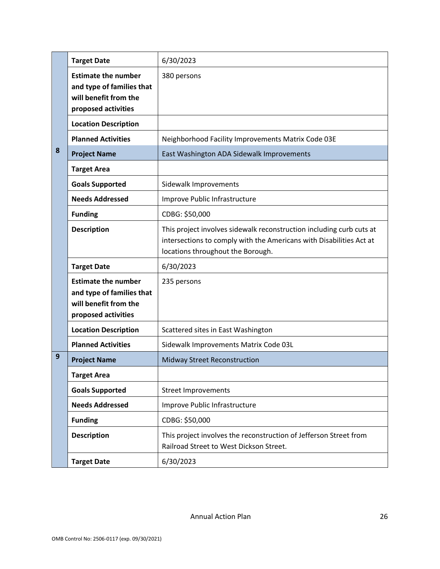|   | <b>Target Date</b>                                                                                      | 6/30/2023                                                                                                                                                                        |
|---|---------------------------------------------------------------------------------------------------------|----------------------------------------------------------------------------------------------------------------------------------------------------------------------------------|
|   | <b>Estimate the number</b><br>and type of families that<br>will benefit from the<br>proposed activities | 380 persons                                                                                                                                                                      |
|   | <b>Location Description</b>                                                                             |                                                                                                                                                                                  |
|   | <b>Planned Activities</b>                                                                               | Neighborhood Facility Improvements Matrix Code 03E                                                                                                                               |
| 8 | <b>Project Name</b>                                                                                     | East Washington ADA Sidewalk Improvements                                                                                                                                        |
|   | <b>Target Area</b>                                                                                      |                                                                                                                                                                                  |
|   | <b>Goals Supported</b>                                                                                  | Sidewalk Improvements                                                                                                                                                            |
|   | <b>Needs Addressed</b>                                                                                  | Improve Public Infrastructure                                                                                                                                                    |
|   | <b>Funding</b>                                                                                          | CDBG: \$50,000                                                                                                                                                                   |
|   | <b>Description</b>                                                                                      | This project involves sidewalk reconstruction including curb cuts at<br>intersections to comply with the Americans with Disabilities Act at<br>locations throughout the Borough. |
|   | <b>Target Date</b>                                                                                      | 6/30/2023                                                                                                                                                                        |
|   | <b>Estimate the number</b><br>and type of families that<br>will benefit from the<br>proposed activities | 235 persons                                                                                                                                                                      |
|   | <b>Location Description</b>                                                                             | Scattered sites in East Washington                                                                                                                                               |
|   | <b>Planned Activities</b>                                                                               | Sidewalk Improvements Matrix Code 03L                                                                                                                                            |
| 9 | <b>Project Name</b>                                                                                     | Midway Street Reconstruction                                                                                                                                                     |
|   | <b>Target Area</b>                                                                                      |                                                                                                                                                                                  |
|   | <b>Goals Supported</b>                                                                                  | <b>Street Improvements</b>                                                                                                                                                       |
|   | <b>Needs Addressed</b>                                                                                  | Improve Public Infrastructure                                                                                                                                                    |
|   |                                                                                                         |                                                                                                                                                                                  |
|   | <b>Funding</b>                                                                                          | CDBG: \$50,000                                                                                                                                                                   |
|   | <b>Description</b>                                                                                      | This project involves the reconstruction of Jefferson Street from<br>Railroad Street to West Dickson Street.                                                                     |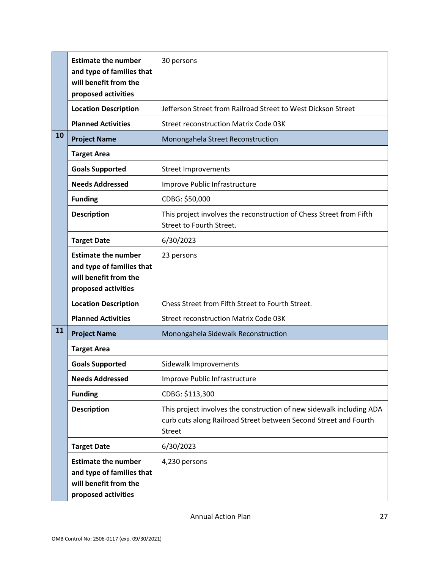|    | <b>Estimate the number</b><br>and type of families that<br>will benefit from the<br>proposed activities | 30 persons                                                                                                                                                |
|----|---------------------------------------------------------------------------------------------------------|-----------------------------------------------------------------------------------------------------------------------------------------------------------|
|    | <b>Location Description</b>                                                                             | Jefferson Street from Railroad Street to West Dickson Street                                                                                              |
|    | <b>Planned Activities</b>                                                                               | <b>Street reconstruction Matrix Code 03K</b>                                                                                                              |
| 10 | <b>Project Name</b>                                                                                     | Monongahela Street Reconstruction                                                                                                                         |
|    | <b>Target Area</b>                                                                                      |                                                                                                                                                           |
|    | <b>Goals Supported</b>                                                                                  | <b>Street Improvements</b>                                                                                                                                |
|    | <b>Needs Addressed</b>                                                                                  | Improve Public Infrastructure                                                                                                                             |
|    | <b>Funding</b>                                                                                          | CDBG: \$50,000                                                                                                                                            |
|    | <b>Description</b>                                                                                      | This project involves the reconstruction of Chess Street from Fifth<br>Street to Fourth Street.                                                           |
|    | <b>Target Date</b>                                                                                      | 6/30/2023                                                                                                                                                 |
|    | <b>Estimate the number</b><br>and type of families that<br>will benefit from the<br>proposed activities | 23 persons                                                                                                                                                |
|    | <b>Location Description</b>                                                                             | Chess Street from Fifth Street to Fourth Street.                                                                                                          |
|    | <b>Planned Activities</b>                                                                               | <b>Street reconstruction Matrix Code 03K</b>                                                                                                              |
| 11 | <b>Project Name</b>                                                                                     | Monongahela Sidewalk Reconstruction                                                                                                                       |
|    | <b>Target Area</b>                                                                                      |                                                                                                                                                           |
|    | <b>Goals Supported</b>                                                                                  | Sidewalk Improvements                                                                                                                                     |
|    | <b>Needs Addressed</b>                                                                                  | Improve Public Infrastructure                                                                                                                             |
|    | <b>Funding</b>                                                                                          | CDBG: \$113,300                                                                                                                                           |
|    | <b>Description</b>                                                                                      | This project involves the construction of new sidewalk including ADA<br>curb cuts along Railroad Street between Second Street and Fourth<br><b>Street</b> |
|    | <b>Target Date</b>                                                                                      | 6/30/2023                                                                                                                                                 |
|    | <b>Estimate the number</b><br>and type of families that<br>will benefit from the<br>proposed activities | 4,230 persons                                                                                                                                             |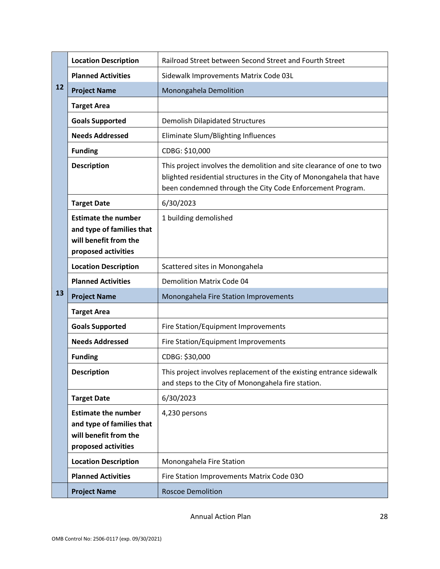|    | <b>Location Description</b>                                                                             | Railroad Street between Second Street and Fourth Street                                                                                                                                                    |
|----|---------------------------------------------------------------------------------------------------------|------------------------------------------------------------------------------------------------------------------------------------------------------------------------------------------------------------|
|    | <b>Planned Activities</b>                                                                               | Sidewalk Improvements Matrix Code 03L                                                                                                                                                                      |
| 12 | <b>Project Name</b>                                                                                     | Monongahela Demolition                                                                                                                                                                                     |
|    | <b>Target Area</b>                                                                                      |                                                                                                                                                                                                            |
|    | <b>Goals Supported</b>                                                                                  | <b>Demolish Dilapidated Structures</b>                                                                                                                                                                     |
|    | <b>Needs Addressed</b>                                                                                  | Eliminate Slum/Blighting Influences                                                                                                                                                                        |
|    | <b>Funding</b>                                                                                          | CDBG: \$10,000                                                                                                                                                                                             |
|    | <b>Description</b>                                                                                      | This project involves the demolition and site clearance of one to two<br>blighted residential structures in the City of Monongahela that have<br>been condemned through the City Code Enforcement Program. |
|    | <b>Target Date</b>                                                                                      | 6/30/2023                                                                                                                                                                                                  |
|    | <b>Estimate the number</b><br>and type of families that<br>will benefit from the<br>proposed activities | 1 building demolished                                                                                                                                                                                      |
|    | <b>Location Description</b>                                                                             | Scattered sites in Monongahela                                                                                                                                                                             |
|    | <b>Planned Activities</b>                                                                               | <b>Demolition Matrix Code 04</b>                                                                                                                                                                           |
| 13 | <b>Project Name</b>                                                                                     | Monongahela Fire Station Improvements                                                                                                                                                                      |
|    | <b>Target Area</b>                                                                                      |                                                                                                                                                                                                            |
|    | <b>Goals Supported</b>                                                                                  | Fire Station/Equipment Improvements                                                                                                                                                                        |
|    | <b>Needs Addressed</b>                                                                                  | Fire Station/Equipment Improvements                                                                                                                                                                        |
|    | <b>Funding</b>                                                                                          | CDBG: \$30,000                                                                                                                                                                                             |
|    | <b>Description</b>                                                                                      | This project involves replacement of the existing entrance sidewalk<br>and steps to the City of Monongahela fire station.                                                                                  |
|    | <b>Target Date</b>                                                                                      | 6/30/2023                                                                                                                                                                                                  |
|    | <b>Estimate the number</b><br>and type of families that<br>will benefit from the<br>proposed activities | 4,230 persons                                                                                                                                                                                              |
|    | <b>Location Description</b>                                                                             | Monongahela Fire Station                                                                                                                                                                                   |
|    | <b>Planned Activities</b>                                                                               | Fire Station Improvements Matrix Code 03O                                                                                                                                                                  |
|    | <b>Project Name</b>                                                                                     | <b>Roscoe Demolition</b>                                                                                                                                                                                   |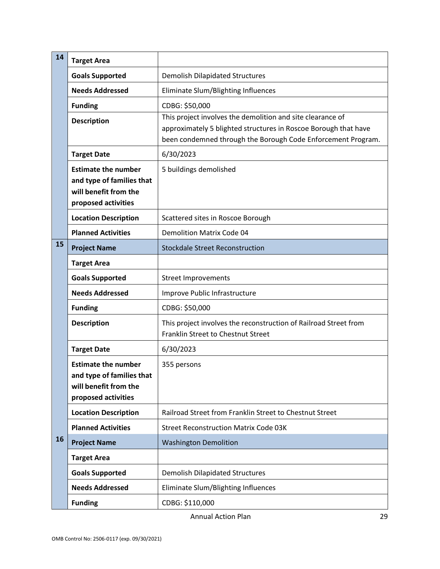| 14 | <b>Target Area</b>                                                                                      |                                                                                                                                                                                               |
|----|---------------------------------------------------------------------------------------------------------|-----------------------------------------------------------------------------------------------------------------------------------------------------------------------------------------------|
|    | <b>Goals Supported</b>                                                                                  | <b>Demolish Dilapidated Structures</b>                                                                                                                                                        |
|    | <b>Needs Addressed</b>                                                                                  | Eliminate Slum/Blighting Influences                                                                                                                                                           |
|    | <b>Funding</b>                                                                                          | CDBG: \$50,000                                                                                                                                                                                |
|    | <b>Description</b>                                                                                      | This project involves the demolition and site clearance of<br>approximately 5 blighted structures in Roscoe Borough that have<br>been condemned through the Borough Code Enforcement Program. |
|    | <b>Target Date</b>                                                                                      | 6/30/2023                                                                                                                                                                                     |
|    | <b>Estimate the number</b><br>and type of families that<br>will benefit from the<br>proposed activities | 5 buildings demolished                                                                                                                                                                        |
|    | <b>Location Description</b>                                                                             | Scattered sites in Roscoe Borough                                                                                                                                                             |
|    | <b>Planned Activities</b>                                                                               | <b>Demolition Matrix Code 04</b>                                                                                                                                                              |
| 15 | <b>Project Name</b>                                                                                     | <b>Stockdale Street Reconstruction</b>                                                                                                                                                        |
|    | <b>Target Area</b>                                                                                      |                                                                                                                                                                                               |
|    | <b>Goals Supported</b>                                                                                  | <b>Street Improvements</b>                                                                                                                                                                    |
|    | <b>Needs Addressed</b>                                                                                  | Improve Public Infrastructure                                                                                                                                                                 |
|    | <b>Funding</b>                                                                                          | CDBG: \$50,000                                                                                                                                                                                |
|    | <b>Description</b>                                                                                      | This project involves the reconstruction of Railroad Street from<br>Franklin Street to Chestnut Street                                                                                        |
|    | <b>Target Date</b>                                                                                      | 6/30/2023                                                                                                                                                                                     |
|    | <b>Estimate the number</b><br>and type of families that<br>will benefit from the<br>proposed activities | 355 persons                                                                                                                                                                                   |
|    | <b>Location Description</b>                                                                             | Railroad Street from Franklin Street to Chestnut Street                                                                                                                                       |
|    | <b>Planned Activities</b>                                                                               | <b>Street Reconstruction Matrix Code 03K</b>                                                                                                                                                  |
| 16 | <b>Project Name</b>                                                                                     | <b>Washington Demolition</b>                                                                                                                                                                  |
|    | <b>Target Area</b>                                                                                      |                                                                                                                                                                                               |
|    | <b>Goals Supported</b>                                                                                  | <b>Demolish Dilapidated Structures</b>                                                                                                                                                        |
|    | <b>Needs Addressed</b>                                                                                  | Eliminate Slum/Blighting Influences                                                                                                                                                           |
|    | <b>Funding</b>                                                                                          | CDBG: \$110,000                                                                                                                                                                               |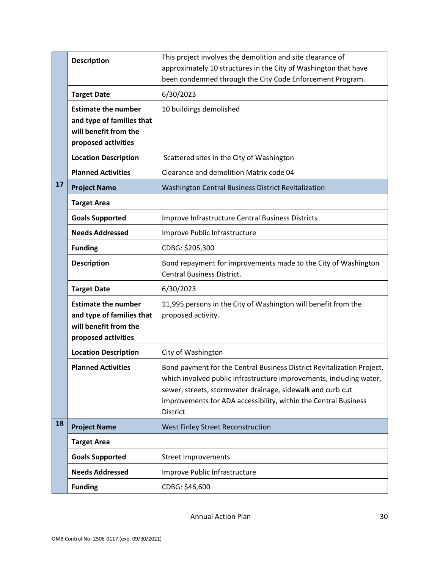|    | <b>Description</b>                                                                                      | This project involves the demolition and site clearance of<br>approximately 10 structures in the City of Washington that have                                                                                                                                                                     |
|----|---------------------------------------------------------------------------------------------------------|---------------------------------------------------------------------------------------------------------------------------------------------------------------------------------------------------------------------------------------------------------------------------------------------------|
|    |                                                                                                         | been condemned through the City Code Enforcement Program.                                                                                                                                                                                                                                         |
|    | <b>Target Date</b>                                                                                      | 6/30/2023                                                                                                                                                                                                                                                                                         |
|    | <b>Estimate the number</b><br>and type of families that<br>will benefit from the<br>proposed activities | 10 buildings demolished                                                                                                                                                                                                                                                                           |
|    | <b>Location Description</b>                                                                             | Scattered sites in the City of Washington                                                                                                                                                                                                                                                         |
|    | <b>Planned Activities</b>                                                                               | Clearance and demolition Matrix code 04                                                                                                                                                                                                                                                           |
| 17 | <b>Project Name</b>                                                                                     | Washington Central Business District Revitalization                                                                                                                                                                                                                                               |
|    | <b>Target Area</b>                                                                                      |                                                                                                                                                                                                                                                                                                   |
|    | <b>Goals Supported</b>                                                                                  | Improve Infrastructure Central Business Districts                                                                                                                                                                                                                                                 |
|    | <b>Needs Addressed</b>                                                                                  | Improve Public Infrastructure                                                                                                                                                                                                                                                                     |
|    | <b>Funding</b>                                                                                          | CDBG: \$205,300                                                                                                                                                                                                                                                                                   |
|    | <b>Description</b>                                                                                      | Bond repayment for improvements made to the City of Washington<br><b>Central Business District.</b>                                                                                                                                                                                               |
|    | <b>Target Date</b>                                                                                      | 6/30/2023                                                                                                                                                                                                                                                                                         |
|    | <b>Estimate the number</b><br>and type of families that<br>will benefit from the<br>proposed activities | 11,995 persons in the City of Washington will benefit from the<br>proposed activity.                                                                                                                                                                                                              |
|    | <b>Location Description</b>                                                                             | City of Washington                                                                                                                                                                                                                                                                                |
|    | <b>Planned Activities</b>                                                                               | Bond payment for the Central Business District Revitalization Project,<br>which involved public infrastructure improvements, including water,<br>sewer, streets, stormwater drainage, sidewalk and curb cut<br>improvements for ADA accessibility, within the Central Business<br><b>District</b> |
| 18 | <b>Project Name</b>                                                                                     | West Finley Street Reconstruction                                                                                                                                                                                                                                                                 |
|    | <b>Target Area</b>                                                                                      |                                                                                                                                                                                                                                                                                                   |
|    | <b>Goals Supported</b>                                                                                  | <b>Street Improvements</b>                                                                                                                                                                                                                                                                        |
|    | <b>Needs Addressed</b>                                                                                  | Improve Public Infrastructure                                                                                                                                                                                                                                                                     |
|    | <b>Funding</b>                                                                                          | CDBG: \$46,600                                                                                                                                                                                                                                                                                    |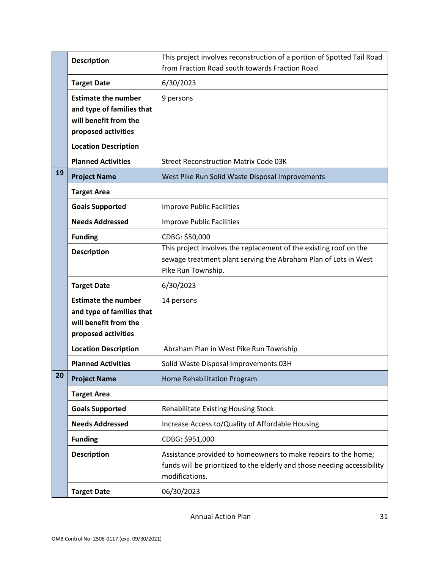|    | <b>Description</b>                                                                                      | This project involves reconstruction of a portion of Spotted Tail Road<br>from Fraction Road south towards Fraction Road                                     |
|----|---------------------------------------------------------------------------------------------------------|--------------------------------------------------------------------------------------------------------------------------------------------------------------|
|    | <b>Target Date</b>                                                                                      | 6/30/2023                                                                                                                                                    |
|    | <b>Estimate the number</b><br>and type of families that<br>will benefit from the<br>proposed activities | 9 persons                                                                                                                                                    |
|    | <b>Location Description</b>                                                                             |                                                                                                                                                              |
|    | <b>Planned Activities</b>                                                                               | <b>Street Reconstruction Matrix Code 03K</b>                                                                                                                 |
| 19 | <b>Project Name</b>                                                                                     | West Pike Run Solid Waste Disposal Improvements                                                                                                              |
|    | <b>Target Area</b>                                                                                      |                                                                                                                                                              |
|    | <b>Goals Supported</b>                                                                                  | <b>Improve Public Facilities</b>                                                                                                                             |
|    | <b>Needs Addressed</b>                                                                                  | <b>Improve Public Facilities</b>                                                                                                                             |
|    | <b>Funding</b>                                                                                          | CDBG: \$50,000                                                                                                                                               |
|    | <b>Description</b>                                                                                      | This project involves the replacement of the existing roof on the<br>sewage treatment plant serving the Abraham Plan of Lots in West<br>Pike Run Township.   |
|    | <b>Target Date</b>                                                                                      | 6/30/2023                                                                                                                                                    |
|    | <b>Estimate the number</b><br>and type of families that<br>will benefit from the<br>proposed activities | 14 persons                                                                                                                                                   |
|    | <b>Location Description</b>                                                                             | Abraham Plan in West Pike Run Township                                                                                                                       |
|    | <b>Planned Activities</b>                                                                               | Solid Waste Disposal Improvements 03H                                                                                                                        |
| 20 | <b>Project Name</b>                                                                                     | Home Rehabilitation Program                                                                                                                                  |
|    | <b>Target Area</b>                                                                                      |                                                                                                                                                              |
|    | <b>Goals Supported</b>                                                                                  | Rehabilitate Existing Housing Stock                                                                                                                          |
|    | <b>Needs Addressed</b>                                                                                  | Increase Access to/Quality of Affordable Housing                                                                                                             |
|    | <b>Funding</b>                                                                                          | CDBG: \$951,000                                                                                                                                              |
|    | <b>Description</b>                                                                                      | Assistance provided to homeowners to make repairs to the home;<br>funds will be prioritized to the elderly and those needing accessibility<br>modifications. |
|    | <b>Target Date</b>                                                                                      | 06/30/2023                                                                                                                                                   |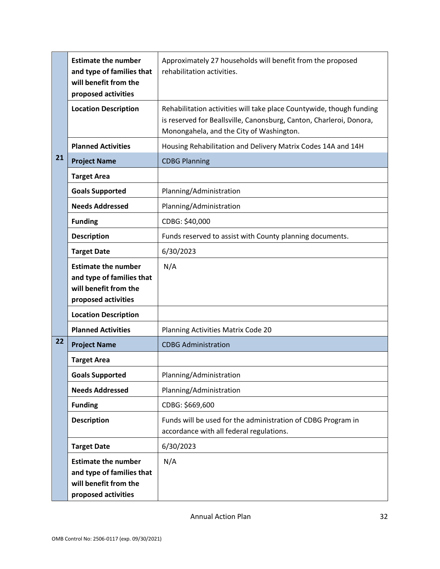|    | <b>Estimate the number</b><br>and type of families that<br>will benefit from the<br>proposed activities | Approximately 27 households will benefit from the proposed<br>rehabilitation activities.                                                                                                |
|----|---------------------------------------------------------------------------------------------------------|-----------------------------------------------------------------------------------------------------------------------------------------------------------------------------------------|
|    | <b>Location Description</b>                                                                             | Rehabilitation activities will take place Countywide, though funding<br>is reserved for Beallsville, Canonsburg, Canton, Charleroi, Donora,<br>Monongahela, and the City of Washington. |
|    | <b>Planned Activities</b>                                                                               | Housing Rehabilitation and Delivery Matrix Codes 14A and 14H                                                                                                                            |
| 21 | <b>Project Name</b>                                                                                     | <b>CDBG Planning</b>                                                                                                                                                                    |
|    | <b>Target Area</b>                                                                                      |                                                                                                                                                                                         |
|    | <b>Goals Supported</b>                                                                                  | Planning/Administration                                                                                                                                                                 |
|    | <b>Needs Addressed</b>                                                                                  | Planning/Administration                                                                                                                                                                 |
|    | <b>Funding</b>                                                                                          | CDBG: \$40,000                                                                                                                                                                          |
|    | <b>Description</b>                                                                                      | Funds reserved to assist with County planning documents.                                                                                                                                |
|    | <b>Target Date</b>                                                                                      | 6/30/2023                                                                                                                                                                               |
|    | <b>Estimate the number</b><br>and type of families that<br>will benefit from the<br>proposed activities | N/A                                                                                                                                                                                     |
|    | <b>Location Description</b>                                                                             |                                                                                                                                                                                         |
|    | <b>Planned Activities</b>                                                                               | Planning Activities Matrix Code 20                                                                                                                                                      |
| 22 | <b>Project Name</b>                                                                                     | <b>CDBG Administration</b>                                                                                                                                                              |
|    | <b>Target Area</b>                                                                                      |                                                                                                                                                                                         |
|    | <b>Goals Supported</b>                                                                                  | Planning/Administration                                                                                                                                                                 |
|    | <b>Needs Addressed</b>                                                                                  | Planning/Administration                                                                                                                                                                 |
|    | <b>Funding</b>                                                                                          | CDBG: \$669,600                                                                                                                                                                         |
|    | <b>Description</b>                                                                                      | Funds will be used for the administration of CDBG Program in<br>accordance with all federal regulations.                                                                                |
|    | <b>Target Date</b>                                                                                      | 6/30/2023                                                                                                                                                                               |
|    | <b>Estimate the number</b><br>and type of families that<br>will benefit from the<br>proposed activities | N/A                                                                                                                                                                                     |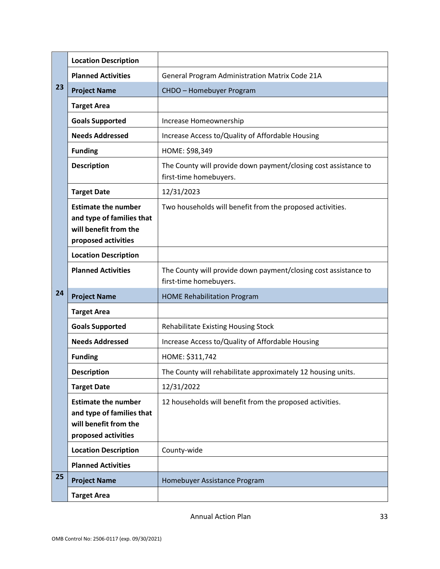|    | <b>Location Description</b>                                                                             |                                                                                           |
|----|---------------------------------------------------------------------------------------------------------|-------------------------------------------------------------------------------------------|
|    | <b>Planned Activities</b>                                                                               | General Program Administration Matrix Code 21A                                            |
| 23 | <b>Project Name</b>                                                                                     | CHDO - Homebuyer Program                                                                  |
|    | <b>Target Area</b>                                                                                      |                                                                                           |
|    | <b>Goals Supported</b>                                                                                  | Increase Homeownership                                                                    |
|    | <b>Needs Addressed</b>                                                                                  | Increase Access to/Quality of Affordable Housing                                          |
|    | <b>Funding</b>                                                                                          | HOME: \$98,349                                                                            |
|    | <b>Description</b>                                                                                      | The County will provide down payment/closing cost assistance to<br>first-time homebuyers. |
|    | <b>Target Date</b>                                                                                      | 12/31/2023                                                                                |
|    | <b>Estimate the number</b><br>and type of families that<br>will benefit from the<br>proposed activities | Two households will benefit from the proposed activities.                                 |
|    | <b>Location Description</b>                                                                             |                                                                                           |
|    | <b>Planned Activities</b>                                                                               | The County will provide down payment/closing cost assistance to<br>first-time homebuyers. |
| 24 | <b>Project Name</b>                                                                                     | <b>HOME Rehabilitation Program</b>                                                        |
|    | <b>Target Area</b>                                                                                      |                                                                                           |
|    | <b>Goals Supported</b>                                                                                  | <b>Rehabilitate Existing Housing Stock</b>                                                |
|    | <b>Needs Addressed</b>                                                                                  | Increase Access to/Quality of Affordable Housing                                          |
|    | <b>Funding</b>                                                                                          | HOME: \$311,742                                                                           |
|    | <b>Description</b>                                                                                      | The County will rehabilitate approximately 12 housing units.                              |
|    |                                                                                                         |                                                                                           |
|    | <b>Target Date</b>                                                                                      | 12/31/2022                                                                                |
|    | <b>Estimate the number</b><br>and type of families that<br>will benefit from the<br>proposed activities | 12 households will benefit from the proposed activities.                                  |
|    | <b>Location Description</b>                                                                             | County-wide                                                                               |
|    | <b>Planned Activities</b>                                                                               |                                                                                           |
| 25 | <b>Project Name</b>                                                                                     | Homebuyer Assistance Program                                                              |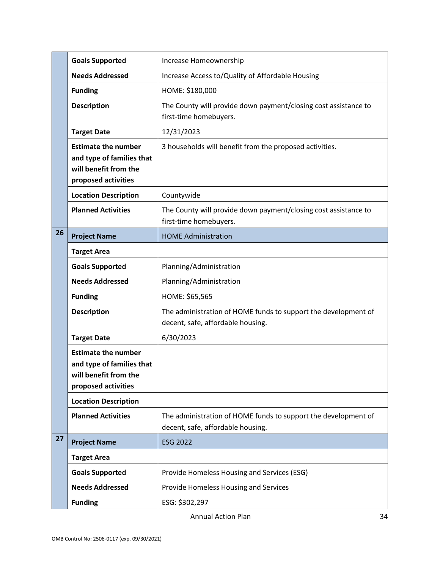|    | <b>Goals Supported</b>                                                                                  | Increase Homeownership                                                                              |
|----|---------------------------------------------------------------------------------------------------------|-----------------------------------------------------------------------------------------------------|
|    | <b>Needs Addressed</b>                                                                                  | Increase Access to/Quality of Affordable Housing                                                    |
|    | <b>Funding</b>                                                                                          | HOME: \$180,000                                                                                     |
|    | <b>Description</b>                                                                                      | The County will provide down payment/closing cost assistance to<br>first-time homebuyers.           |
|    | <b>Target Date</b>                                                                                      | 12/31/2023                                                                                          |
|    | <b>Estimate the number</b><br>and type of families that<br>will benefit from the<br>proposed activities | 3 households will benefit from the proposed activities.                                             |
|    | <b>Location Description</b>                                                                             | Countywide                                                                                          |
|    | <b>Planned Activities</b>                                                                               | The County will provide down payment/closing cost assistance to<br>first-time homebuyers.           |
| 26 | <b>Project Name</b>                                                                                     | <b>HOME Administration</b>                                                                          |
|    | <b>Target Area</b>                                                                                      |                                                                                                     |
|    | <b>Goals Supported</b>                                                                                  | Planning/Administration                                                                             |
|    | <b>Needs Addressed</b>                                                                                  | Planning/Administration                                                                             |
|    | <b>Funding</b>                                                                                          | HOME: \$65,565                                                                                      |
|    | <b>Description</b>                                                                                      | The administration of HOME funds to support the development of<br>decent, safe, affordable housing. |
|    | <b>Target Date</b>                                                                                      | 6/30/2023                                                                                           |
|    | <b>Estimate the number</b><br>and type of families that<br>will benefit from the<br>proposed activities |                                                                                                     |
|    | <b>Location Description</b>                                                                             |                                                                                                     |
|    | <b>Planned Activities</b>                                                                               | The administration of HOME funds to support the development of<br>decent, safe, affordable housing. |
| 27 | <b>Project Name</b>                                                                                     | <b>ESG 2022</b>                                                                                     |
|    | <b>Target Area</b>                                                                                      |                                                                                                     |
|    | <b>Goals Supported</b>                                                                                  | Provide Homeless Housing and Services (ESG)                                                         |
|    | <b>Needs Addressed</b>                                                                                  | Provide Homeless Housing and Services                                                               |
|    | <b>Funding</b>                                                                                          | ESG: \$302,297                                                                                      |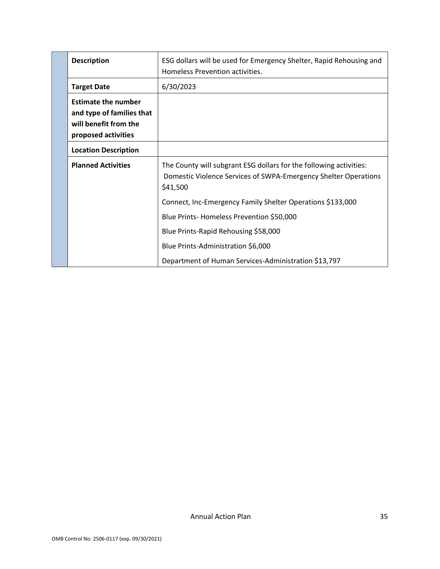| <b>Description</b>                                                                                      | ESG dollars will be used for Emergency Shelter, Rapid Rehousing and<br>Homeless Prevention activities.                                            |
|---------------------------------------------------------------------------------------------------------|---------------------------------------------------------------------------------------------------------------------------------------------------|
| <b>Target Date</b>                                                                                      | 6/30/2023                                                                                                                                         |
| <b>Estimate the number</b><br>and type of families that<br>will benefit from the<br>proposed activities |                                                                                                                                                   |
| <b>Location Description</b>                                                                             |                                                                                                                                                   |
| <b>Planned Activities</b>                                                                               | The County will subgrant ESG dollars for the following activities:<br>Domestic Violence Services of SWPA-Emergency Shelter Operations<br>\$41,500 |
|                                                                                                         | Connect, Inc-Emergency Family Shelter Operations \$133,000                                                                                        |
|                                                                                                         | Blue Prints-Homeless Prevention \$50,000                                                                                                          |
|                                                                                                         | Blue Prints-Rapid Rehousing \$58,000                                                                                                              |
|                                                                                                         | Blue Prints-Administration \$6,000                                                                                                                |
|                                                                                                         | Department of Human Services-Administration \$13,797                                                                                              |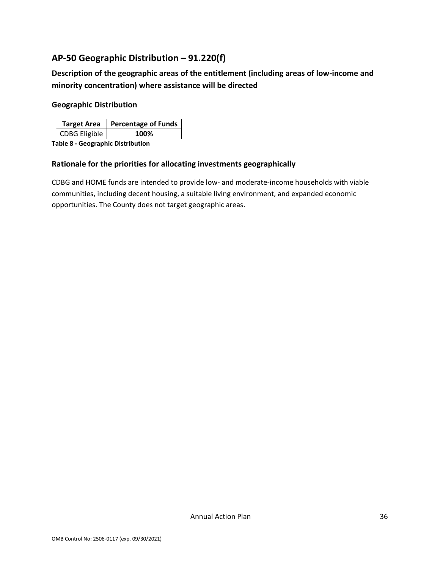## <span id="page-36-0"></span>**AP-50 Geographic Distribution – 91.220(f)**

**Description of the geographic areas of the entitlement (including areas of low-income and minority concentration) where assistance will be directed** 

#### **Geographic Distribution**

|               | Target Area   Percentage of Funds |
|---------------|-----------------------------------|
| CDBG Eligible | 100%                              |
| .             |                                   |

**Table 8 - Geographic Distribution** 

#### **Rationale for the priorities for allocating investments geographically**

CDBG and HOME funds are intended to provide low- and moderate-income households with viable communities, including decent housing, a suitable living environment, and expanded economic opportunities. The County does not target geographic areas.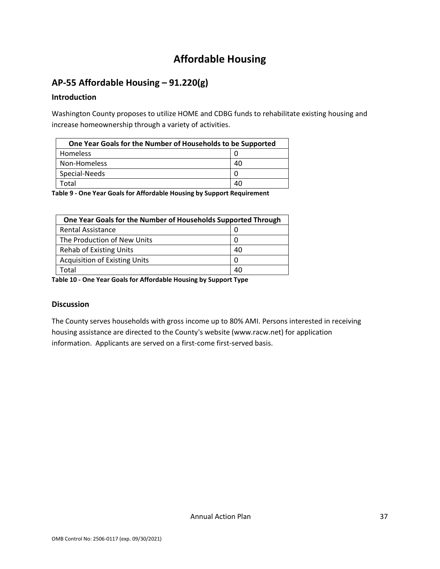# **Affordable Housing**

## <span id="page-37-1"></span><span id="page-37-0"></span>**AP-55 Affordable Housing – 91.220(g)**

#### **Introduction**

Washington County proposes to utilize HOME and CDBG funds to rehabilitate existing housing and increase homeownership through a variety of activities.

| One Year Goals for the Number of Households to be Supported |    |
|-------------------------------------------------------------|----|
| Homeless                                                    |    |
| Non-Homeless                                                | 40 |
| Special-Needs                                               | 0  |
| Total                                                       | 40 |
|                                                             |    |

**Table 9 - One Year Goals for Affordable Housing by Support Requirement**

| One Year Goals for the Number of Households Supported Through |    |
|---------------------------------------------------------------|----|
| Rental Assistance                                             |    |
| The Production of New Units                                   |    |
| <b>Rehab of Existing Units</b>                                | 40 |
| <b>Acquisition of Existing Units</b>                          |    |
| Гоtal                                                         | 40 |

**Table 10 - One Year Goals for Affordable Housing by Support Type**

## **Discussion**

The County serves households with gross income up to 80% AMI. Persons interested in receiving housing assistance are directed to the County's website (www.racw.net) for application information. Applicants are served on a first-come first-served basis.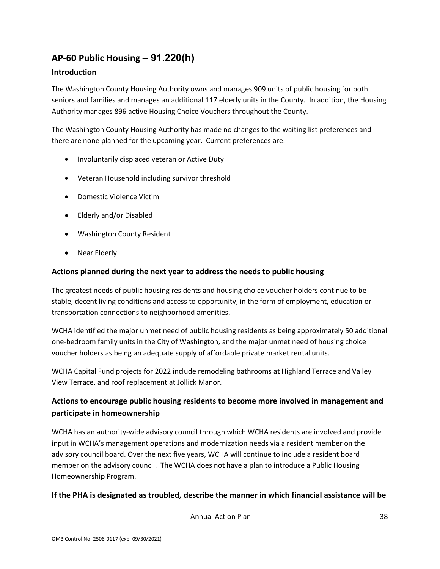## <span id="page-38-0"></span>**AP-60 Public Housing** *–* **91.220(h)**

#### **Introduction**

The Washington County Housing Authority owns and manages 909 units of public housing for both seniors and families and manages an additional 117 elderly units in the County. In addition, the Housing Authority manages 896 active Housing Choice Vouchers throughout the County.

The Washington County Housing Authority has made no changes to the waiting list preferences and there are none planned for the upcoming year. Current preferences are:

- Involuntarily displaced veteran or Active Duty
- Veteran Household including survivor threshold
- Domestic Violence Victim
- Elderly and/or Disabled
- Washington County Resident
- Near Elderly

#### **Actions planned during the next year to address the needs to public housing**

The greatest needs of public housing residents and housing choice voucher holders continue to be stable, decent living conditions and access to opportunity, in the form of employment, education or transportation connections to neighborhood amenities.

WCHA identified the major unmet need of public housing residents as being approximately 50 additional one-bedroom family units in the City of Washington, and the major unmet need of housing choice voucher holders as being an adequate supply of affordable private market rental units.

WCHA Capital Fund projects for 2022 include remodeling bathrooms at Highland Terrace and Valley View Terrace, and roof replacement at Jollick Manor.

## **Actions to encourage public housing residents to become more involved in management and participate in homeownership**

WCHA has an authority-wide advisory council through which WCHA residents are involved and provide input in WCHA's management operations and modernization needs via a resident member on the advisory council board. Over the next five years, WCHA will continue to include a resident board member on the advisory council. The WCHA does not have a plan to introduce a Public Housing Homeownership Program.

## **If the PHA is designated as troubled, describe the manner in which financial assistance will be**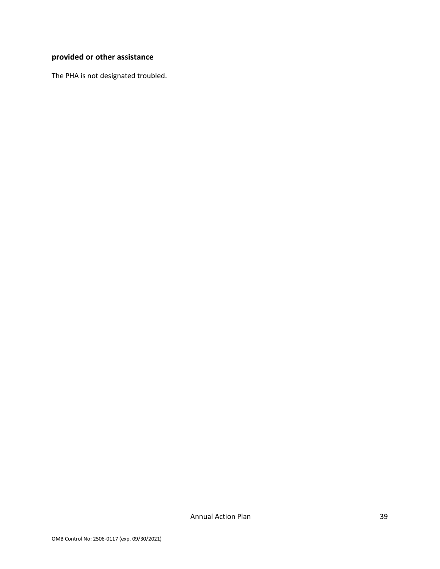## **provided or other assistance**

The PHA is not designated troubled.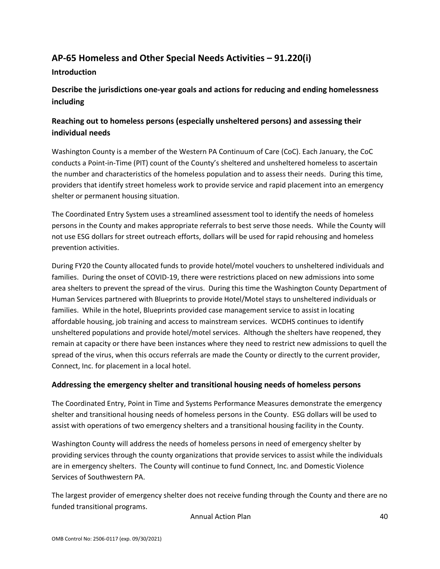## <span id="page-40-0"></span>**AP-65 Homeless and Other Special Needs Activities – 91.220(i)**

#### **Introduction**

## **Describe the jurisdictions one-year goals and actions for reducing and ending homelessness including**

## **Reaching out to homeless persons (especially unsheltered persons) and assessing their individual needs**

Washington County is a member of the Western PA Continuum of Care (CoC). Each January, the CoC conducts a Point-in-Time (PIT) count of the County's sheltered and unsheltered homeless to ascertain the number and characteristics of the homeless population and to assess their needs. During this time, providers that identify street homeless work to provide service and rapid placement into an emergency shelter or permanent housing situation.

The Coordinated Entry System uses a streamlined assessment tool to identify the needs of homeless persons in the County and makes appropriate referrals to best serve those needs. While the County will not use ESG dollars for street outreach efforts, dollars will be used for rapid rehousing and homeless prevention activities.

During FY20 the County allocated funds to provide hotel/motel vouchers to unsheltered individuals and families. During the onset of COVID-19, there were restrictions placed on new admissions into some area shelters to prevent the spread of the virus. During this time the Washington County Department of Human Services partnered with Blueprints to provide Hotel/Motel stays to unsheltered individuals or families. While in the hotel, Blueprints provided case management service to assist in locating affordable housing, job training and access to mainstream services. WCDHS continues to identify unsheltered populations and provide hotel/motel services. Although the shelters have reopened, they remain at capacity or there have been instances where they need to restrict new admissions to quell the spread of the virus, when this occurs referrals are made the County or directly to the current provider, Connect, Inc. for placement in a local hotel.

## **Addressing the emergency shelter and transitional housing needs of homeless persons**

The Coordinated Entry, Point in Time and Systems Performance Measures demonstrate the emergency shelter and transitional housing needs of homeless persons in the County. ESG dollars will be used to assist with operations of two emergency shelters and a transitional housing facility in the County.

Washington County will address the needs of homeless persons in need of emergency shelter by providing services through the county organizations that provide services to assist while the individuals are in emergency shelters. The County will continue to fund Connect, Inc. and Domestic Violence Services of Southwestern PA.

The largest provider of emergency shelter does not receive funding through the County and there are no funded transitional programs.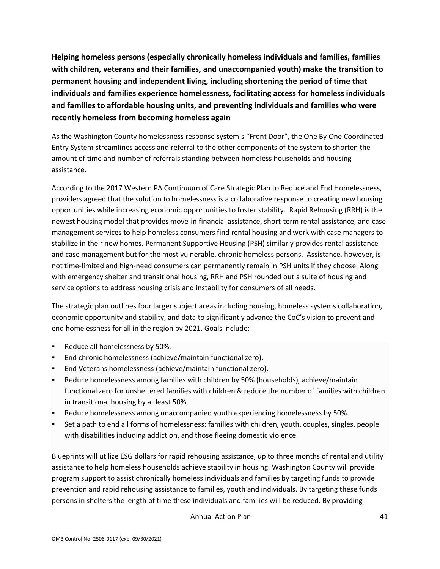**Helping homeless persons (especially chronically homeless individuals and families, families with children, veterans and their families, and unaccompanied youth) make the transition to permanent housing and independent living, including shortening the period of time that individuals and families experience homelessness, facilitating access for homeless individuals and families to affordable housing units, and preventing individuals and families who were recently homeless from becoming homeless again**

As the Washington County homelessness response system's "Front Door", the One By One Coordinated Entry System streamlines access and referral to the other components of the system to shorten the amount of time and number of referrals standing between homeless households and housing assistance.

According to the 2017 Western PA Continuum of Care Strategic Plan to Reduce and End Homelessness, providers agreed that the solution to homelessness is a collaborative response to creating new housing opportunities while increasing economic opportunities to foster stability. Rapid Rehousing (RRH) is the newest housing model that provides move-in financial assistance, short-term rental assistance, and case management services to help homeless consumers find rental housing and work with case managers to stabilize in their new homes. Permanent Supportive Housing (PSH) similarly provides rental assistance and case management but for the most vulnerable, chronic homeless persons. Assistance, however, is not time-limited and high-need consumers can permanently remain in PSH units if they choose. Along with emergency shelter and transitional housing, RRH and PSH rounded out a suite of housing and service options to address housing crisis and instability for consumers of all needs.

The strategic plan outlines four larger subject areas including housing, homeless systems collaboration, economic opportunity and stability, and data to significantly advance the CoC's vision to prevent and end homelessness for all in the region by 2021. Goals include:

- Reduce all homelessness by 50%.
- End chronic homelessness (achieve/maintain functional zero).
- End Veterans homelessness (achieve/maintain functional zero).
- Reduce homelessness among families with children by 50% (households), achieve/maintain functional zero for unsheltered families with children & reduce the number of families with children in transitional housing by at least 50%.
- Reduce homelessness among unaccompanied youth experiencing homelessness by 50%.
- Set a path to end all forms of homelessness: families with children, youth, couples, singles, people with disabilities including addiction, and those fleeing domestic violence.

Blueprints will utilize ESG dollars for rapid rehousing assistance, up to three months of rental and utility assistance to help homeless households achieve stability in housing. Washington County will provide program support to assist chronically homeless individuals and families by targeting funds to provide prevention and rapid rehousing assistance to families, youth and individuals. By targeting these funds persons in shelters the length of time these individuals and families will be reduced. By providing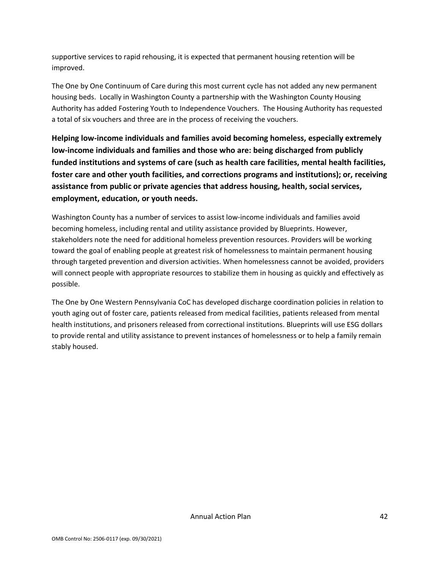supportive services to rapid rehousing, it is expected that permanent housing retention will be improved.

The One by One Continuum of Care during this most current cycle has not added any new permanent housing beds. Locally in Washington County a partnership with the Washington County Housing Authority has added Fostering Youth to Independence Vouchers. The Housing Authority has requested a total of six vouchers and three are in the process of receiving the vouchers.

**Helping low-income individuals and families avoid becoming homeless, especially extremely low-income individuals and families and those who are: being discharged from publicly funded institutions and systems of care (such as health care facilities, mental health facilities, foster care and other youth facilities, and corrections programs and institutions); or, receiving assistance from public or private agencies that address housing, health, social services, employment, education, or youth needs.**

Washington County has a number of services to assist low-income individuals and families avoid becoming homeless, including rental and utility assistance provided by Blueprints. However, stakeholders note the need for additional homeless prevention resources. Providers will be working toward the goal of enabling people at greatest risk of homelessness to maintain permanent housing through targeted prevention and diversion activities. When homelessness cannot be avoided, providers will connect people with appropriate resources to stabilize them in housing as quickly and effectively as possible.

The One by One Western Pennsylvania CoC has developed discharge coordination policies in relation to youth aging out of foster care, patients released from medical facilities, patients released from mental health institutions, and prisoners released from correctional institutions. Blueprints will use ESG dollars to provide rental and utility assistance to prevent instances of homelessness or to help a family remain stably housed.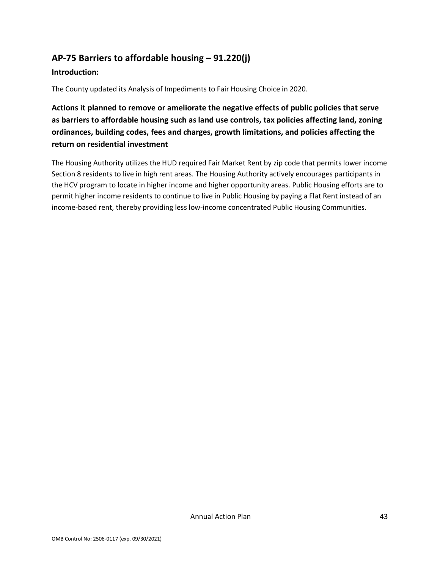## <span id="page-43-0"></span>**AP-75 Barriers to affordable housing – 91.220(j)**

#### **Introduction:**

The County updated its Analysis of Impediments to Fair Housing Choice in 2020.

**Actions it planned to remove or ameliorate the negative effects of public policies that serve as barriers to affordable housing such as land use controls, tax policies affecting land, zoning ordinances, building codes, fees and charges, growth limitations, and policies affecting the return on residential investment**

The Housing Authority utilizes the HUD required Fair Market Rent by zip code that permits lower income Section 8 residents to live in high rent areas. The Housing Authority actively encourages participants in the HCV program to locate in higher income and higher opportunity areas. Public Housing efforts are to permit higher income residents to continue to live in Public Housing by paying a Flat Rent instead of an income-based rent, thereby providing less low-income concentrated Public Housing Communities.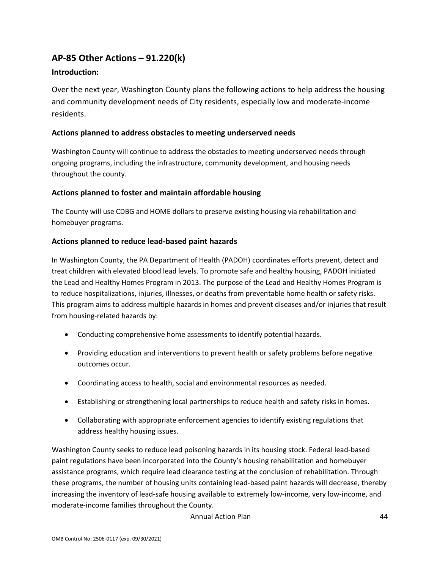## <span id="page-44-0"></span>**AP-85 Other Actions – 91.220(k)**

#### **Introduction:**

Over the next year, Washington County plans the following actions to help address the housing and community development needs of City residents, especially low and moderate-income residents.

#### **Actions planned to address obstacles to meeting underserved needs**

Washington County will continue to address the obstacles to meeting underserved needs through ongoing programs, including the infrastructure, community development, and housing needs throughout the county.

#### **Actions planned to foster and maintain affordable housing**

The County will use CDBG and HOME dollars to preserve existing housing via rehabilitation and homebuyer programs.

#### **Actions planned to reduce lead-based paint hazards**

In Washington County, the PA Department of Health (PADOH) coordinates efforts prevent, detect and treat children with elevated blood lead levels. To promote safe and healthy housing, PADOH initiated the Lead and Healthy Homes Program in 2013. The purpose of the Lead and Healthy Homes Program is to reduce hospitalizations, injuries, illnesses, or deaths from preventable home health or safety risks. This program aims to address multiple hazards in homes and prevent diseases and/or injuries that result from housing-related hazards by:

- Conducting comprehensive home assessments to identify potential hazards.
- Providing education and interventions to prevent health or safety problems before negative outcomes occur.
- Coordinating access to health, social and environmental resources as needed.
- Establishing or strengthening local partnerships to reduce health and safety risks in homes.
- Collaborating with appropriate enforcement agencies to identify existing regulations that address healthy housing issues.

Washington County seeks to reduce lead poisoning hazards in its housing stock. Federal lead-based paint regulations have been incorporated into the County's housing rehabilitation and homebuyer assistance programs, which require lead clearance testing at the conclusion of rehabilitation. Through these programs, the number of housing units containing lead-based paint hazards will decrease, thereby increasing the inventory of lead-safe housing available to extremely low-income, very low-income, and moderate-income families throughout the County.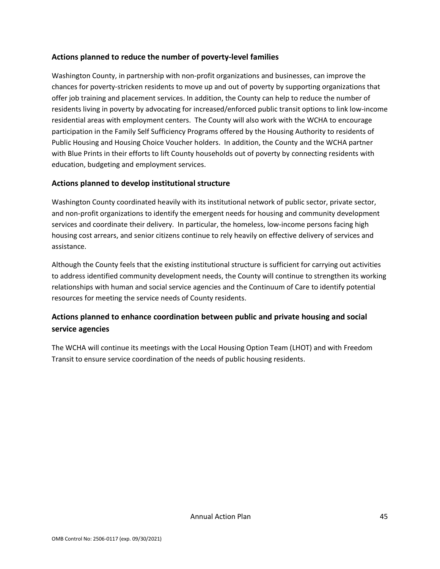#### **Actions planned to reduce the number of poverty-level families**

Washington County, in partnership with non-profit organizations and businesses, can improve the chances for poverty-stricken residents to move up and out of poverty by supporting organizations that offer job training and placement services. In addition, the County can help to reduce the number of residents living in poverty by advocating for increased/enforced public transit options to link low-income residential areas with employment centers. The County will also work with the WCHA to encourage participation in the Family Self Sufficiency Programs offered by the Housing Authority to residents of Public Housing and Housing Choice Voucher holders. In addition, the County and the WCHA partner with Blue Prints in their efforts to lift County households out of poverty by connecting residents with education, budgeting and employment services.

#### **Actions planned to develop institutional structure**

Washington County coordinated heavily with its institutional network of public sector, private sector, and non-profit organizations to identify the emergent needs for housing and community development services and coordinate their delivery. In particular, the homeless, low-income persons facing high housing cost arrears, and senior citizens continue to rely heavily on effective delivery of services and assistance.

Although the County feels that the existing institutional structure is sufficient for carrying out activities to address identified community development needs, the County will continue to strengthen its working relationships with human and social service agencies and the Continuum of Care to identify potential resources for meeting the service needs of County residents.

## **Actions planned to enhance coordination between public and private housing and social service agencies**

The WCHA will continue its meetings with the Local Housing Option Team (LHOT) and with Freedom Transit to ensure service coordination of the needs of public housing residents.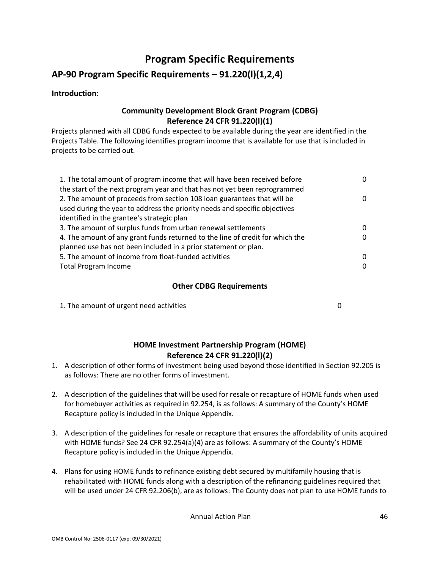# **Program Specific Requirements**

## <span id="page-46-0"></span>**AP-90 Program Specific Requirements – 91.220(l)(1,2,4)**

#### **Introduction:**

## **Community Development Block Grant Program (CDBG) Reference 24 CFR 91.220(l)(1)**

Projects planned with all CDBG funds expected to be available during the year are identified in the Projects Table. The following identifies program income that is available for use that is included in projects to be carried out.

| 1. The total amount of program income that will have been received before     | 0 |
|-------------------------------------------------------------------------------|---|
| the start of the next program year and that has not yet been reprogrammed     |   |
| 2. The amount of proceeds from section 108 loan guarantees that will be       | 0 |
| used during the year to address the priority needs and specific objectives    |   |
| identified in the grantee's strategic plan                                    |   |
| 3. The amount of surplus funds from urban renewal settlements                 | 0 |
| 4. The amount of any grant funds returned to the line of credit for which the | 0 |
| planned use has not been included in a prior statement or plan.               |   |
| 5. The amount of income from float-funded activities                          | 0 |
| <b>Total Program Income</b>                                                   | 0 |

## **Other CDBG Requirements**

| 1. The amount of urgent need activities |  |
|-----------------------------------------|--|
|                                         |  |

#### **HOME Investment Partnership Program (HOME) Reference 24 CFR 91.220(l)(2)**

- 1. A description of other forms of investment being used beyond those identified in Section 92.205 is as follows: There are no other forms of investment.
- 2. A description of the guidelines that will be used for resale or recapture of HOME funds when used for homebuyer activities as required in 92.254, is as follows: A summary of the County's HOME Recapture policy is included in the Unique Appendix.
- 3. A description of the guidelines for resale or recapture that ensures the affordability of units acquired with HOME funds? See 24 CFR 92.254(a)(4) are as follows: A summary of the County's HOME Recapture policy is included in the Unique Appendix.
- 4. Plans for using HOME funds to refinance existing debt secured by multifamily housing that is rehabilitated with HOME funds along with a description of the refinancing guidelines required that will be used under 24 CFR 92.206(b), are as follows: The County does not plan to use HOME funds to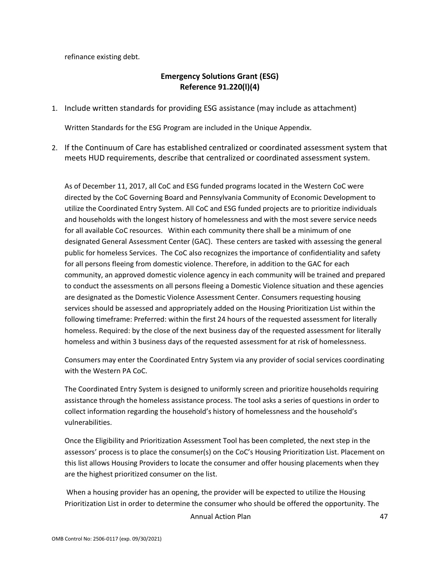refinance existing debt.

## **Emergency Solutions Grant (ESG) Reference 91.220(l)(4)**

1. Include written standards for providing ESG assistance (may include as attachment)

Written Standards for the ESG Program are included in the Unique Appendix.

2. If the Continuum of Care has established centralized or coordinated assessment system that meets HUD requirements, describe that centralized or coordinated assessment system.

As of December 11, 2017, all CoC and ESG funded programs located in the Western CoC were directed by the CoC Governing Board and Pennsylvania Community of Economic Development to utilize the Coordinated Entry System. All CoC and ESG funded projects are to prioritize individuals and households with the longest history of homelessness and with the most severe service needs for all available CoC resources. Within each community there shall be a minimum of one designated General Assessment Center (GAC). These centers are tasked with assessing the general public for homeless Services. The CoC also recognizes the importance of confidentiality and safety for all persons fleeing from domestic violence. Therefore, in addition to the GAC for each community, an approved domestic violence agency in each community will be trained and prepared to conduct the assessments on all persons fleeing a Domestic Violence situation and these agencies are designated as the Domestic Violence Assessment Center. Consumers requesting housing services should be assessed and appropriately added on the Housing Prioritization List within the following timeframe: Preferred: within the first 24 hours of the requested assessment for literally homeless. Required: by the close of the next business day of the requested assessment for literally homeless and within 3 business days of the requested assessment for at risk of homelessness.

Consumers may enter the Coordinated Entry System via any provider of social services coordinating with the Western PA CoC.

The Coordinated Entry System is designed to uniformly screen and prioritize households requiring assistance through the homeless assistance process. The tool asks a series of questions in order to collect information regarding the household's history of homelessness and the household's vulnerabilities.

Once the Eligibility and Prioritization Assessment Tool has been completed, the next step in the assessors' process is to place the consumer(s) on the CoC's Housing Prioritization List. Placement on this list allows Housing Providers to locate the consumer and offer housing placements when they are the highest prioritized consumer on the list.

When a housing provider has an opening, the provider will be expected to utilize the Housing Prioritization List in order to determine the consumer who should be offered the opportunity. The